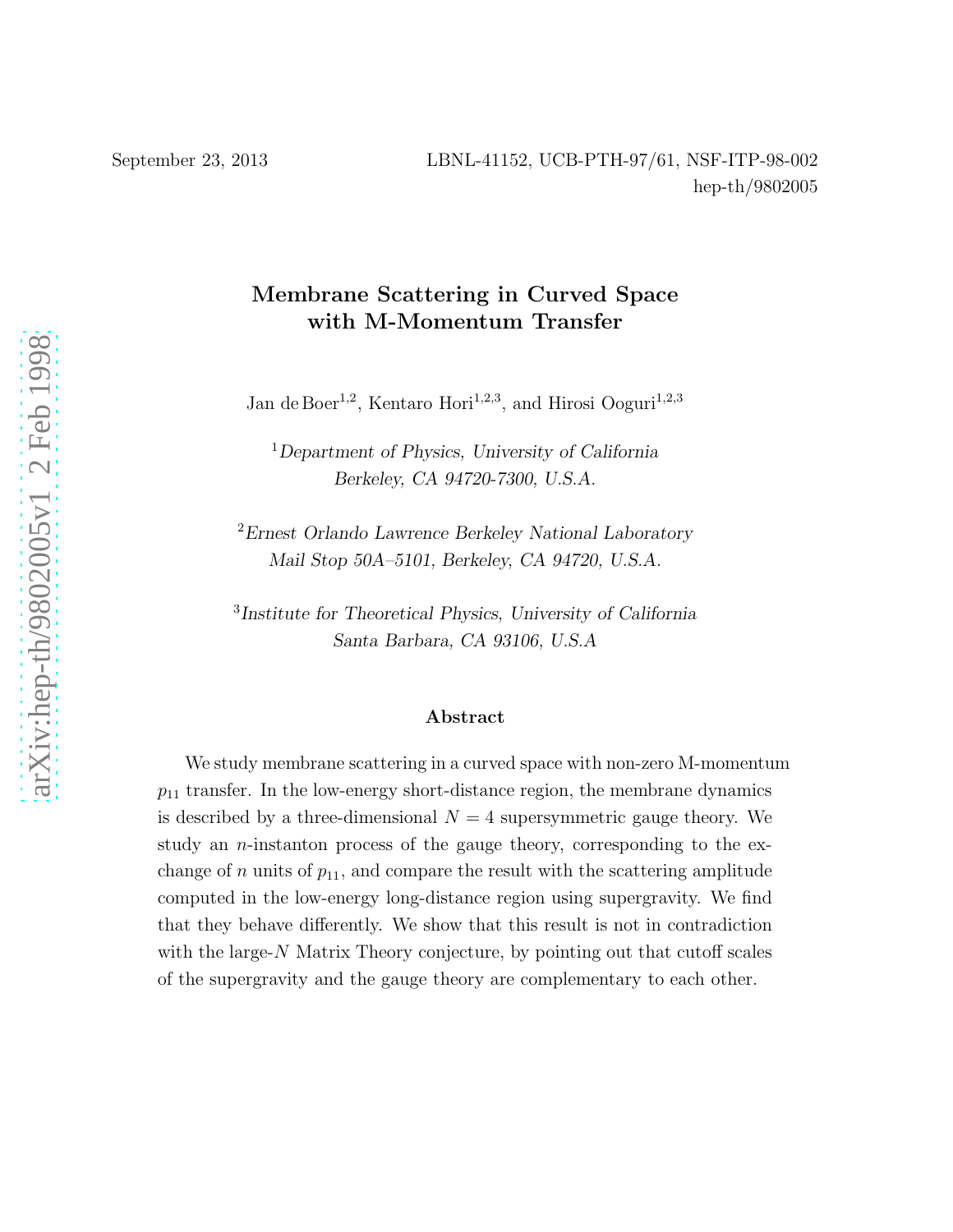# Membrane Scattering in Curved Space with M-Momentum Transfer

Jan de Boer<sup>1,2</sup>, Kentaro Hori<sup>1,2,3</sup>, and Hirosi Ooguri<sup>1,2,3</sup>

<sup>1</sup>Department of Physics, University of California Berkeley, CA 94720-7300, U.S.A.

<sup>2</sup>Ernest Orlando Lawrence Berkeley National Laboratory Mail Stop 50A–5101, Berkeley, CA 94720, U.S.A.

3 Institute for Theoretical Physics, University of California Santa Barbara, CA 93106, U.S.A

### Abstract

We study membrane scattering in a curved space with non-zero M-momentum  $p_{11}$  transfer. In the low-energy short-distance region, the membrane dynamics is described by a three-dimensional  $N = 4$  supersymmetric gauge theory. We study an *n*-instanton process of the gauge theory, corresponding to the exchange of n units of  $p_{11}$ , and compare the result with the scattering amplitude computed in the low-energy long-distance region using supergravity. We find that they behave differently. We show that this result is not in contradiction with the large- $N$  Matrix Theory conjecture, by pointing out that cutoff scales of the supergravity and the gauge theory are complementary to each other.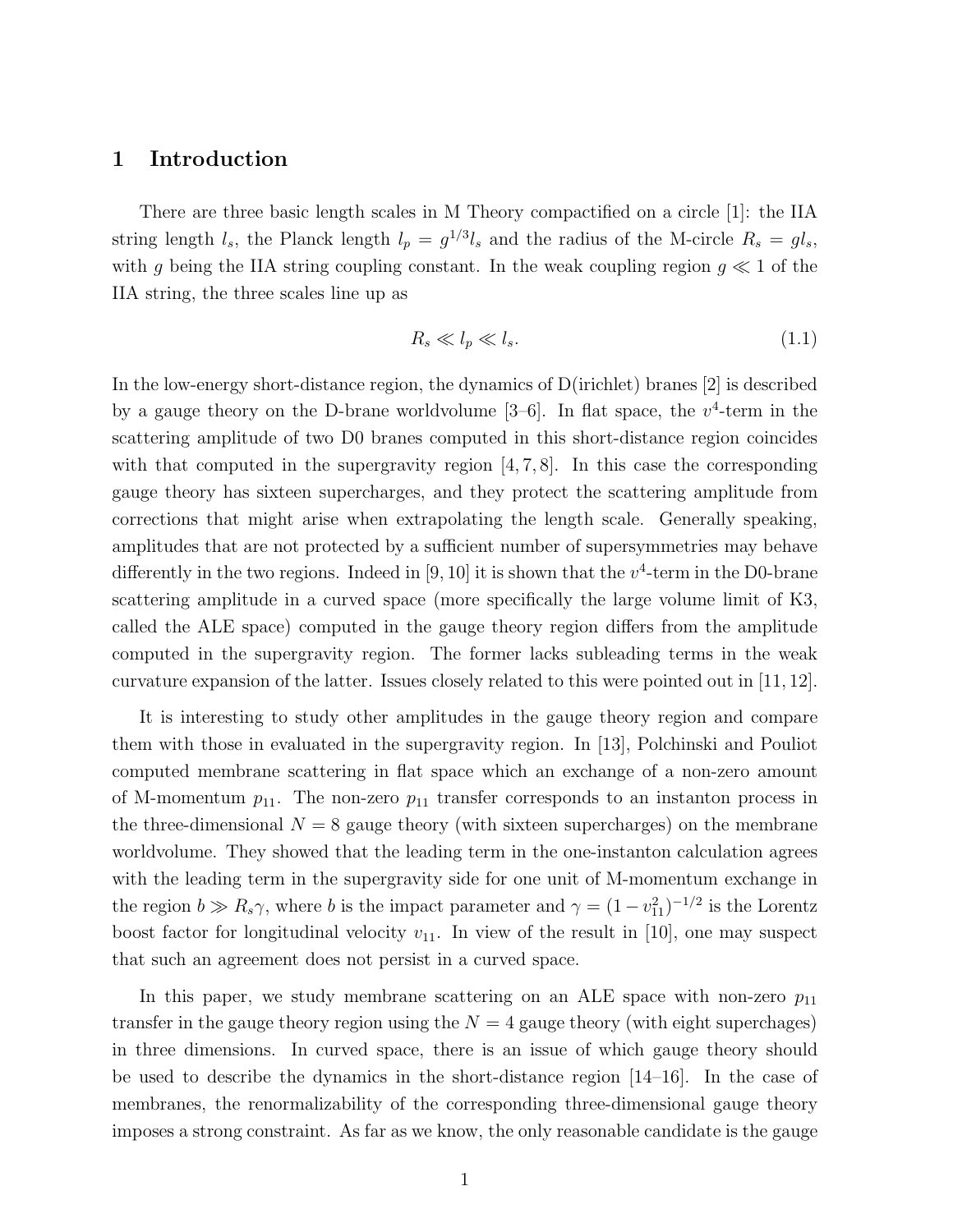### 1 Introduction

There are three basic length scales in M Theory compactified on a circle [1]: the IIA string length  $l_s$ , the Planck length  $l_p = g^{1/3}l_s$  and the radius of the M-circle  $R_s = gl_s$ , with g being the IIA string coupling constant. In the weak coupling region  $g \ll 1$  of the IIA string, the three scales line up as

$$
R_s \ll l_p \ll l_s. \tag{1.1}
$$

In the low-energy short-distance region, the dynamics of D(irichlet) branes [2] is described by a gauge theory on the D-brane worldvolume  $[3-6]$ . In flat space, the  $v^4$ -term in the scattering amplitude of two D0 branes computed in this short-distance region coincides with that computed in the supergravity region  $[4, 7, 8]$ . In this case the corresponding gauge theory has sixteen supercharges, and they protect the scattering amplitude from corrections that might arise when extrapolating the length scale. Generally speaking, amplitudes that are not protected by a sufficient number of supersymmetries may behave differently in the two regions. Indeed in  $[9, 10]$  it is shown that the  $v^4$ -term in the D0-brane scattering amplitude in a curved space (more specifically the large volume limit of K3, called the ALE space) computed in the gauge theory region differs from the amplitude computed in the supergravity region. The former lacks subleading terms in the weak curvature expansion of the latter. Issues closely related to this were pointed out in [11, 12].

It is interesting to study other amplitudes in the gauge theory region and compare them with those in evaluated in the supergravity region. In [13], Polchinski and Pouliot computed membrane scattering in flat space which an exchange of a non-zero amount of M-momentum  $p_{11}$ . The non-zero  $p_{11}$  transfer corresponds to an instanton process in the three-dimensional  $N = 8$  gauge theory (with sixteen supercharges) on the membrane worldvolume. They showed that the leading term in the one-instanton calculation agrees with the leading term in the supergravity side for one unit of M-momentum exchange in the region  $b \gg R_s \gamma$ , where b is the impact parameter and  $\gamma = (1 - v_{11}^2)^{-1/2}$  is the Lorentz boost factor for longitudinal velocity  $v_{11}$ . In view of the result in [10], one may suspect that such an agreement does not persist in a curved space.

In this paper, we study membrane scattering on an ALE space with non-zero  $p_{11}$ transfer in the gauge theory region using the  $N = 4$  gauge theory (with eight superchages) in three dimensions. In curved space, there is an issue of which gauge theory should be used to describe the dynamics in the short-distance region [14–16]. In the case of membranes, the renormalizability of the corresponding three-dimensional gauge theory imposes a strong constraint. As far as we know, the only reasonable candidate is the gauge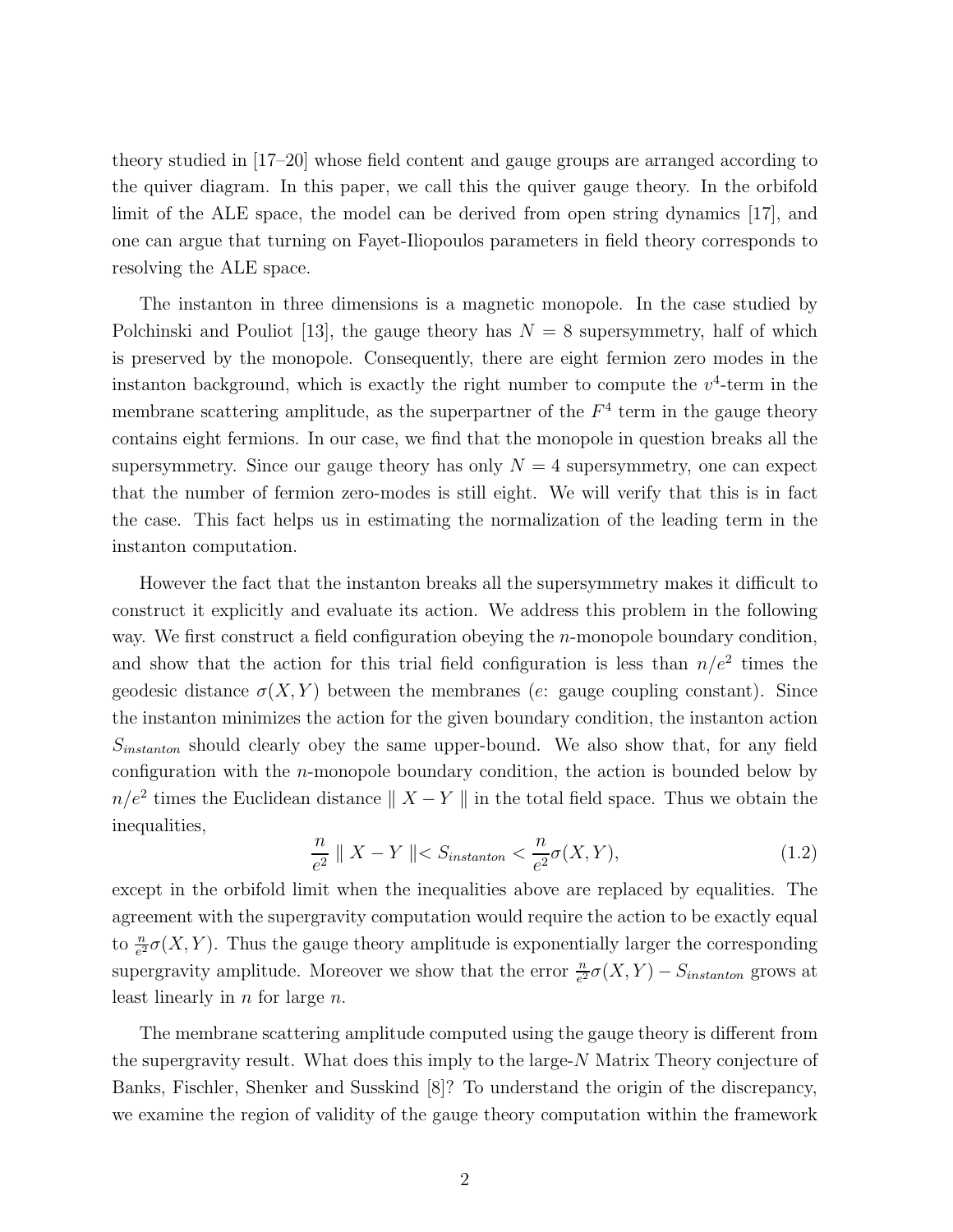theory studied in [17–20] whose field content and gauge groups are arranged according to the quiver diagram. In this paper, we call this the quiver gauge theory. In the orbifold limit of the ALE space, the model can be derived from open string dynamics [17], and one can argue that turning on Fayet-Iliopoulos parameters in field theory corresponds to resolving the ALE space.

The instanton in three dimensions is a magnetic monopole. In the case studied by Polchinski and Pouliot [13], the gauge theory has  $N = 8$  supersymmetry, half of which is preserved by the monopole. Consequently, there are eight fermion zero modes in the instanton background, which is exactly the right number to compute the  $v^4$ -term in the membrane scattering amplitude, as the superpartner of the  $F<sup>4</sup>$  term in the gauge theory contains eight fermions. In our case, we find that the monopole in question breaks all the supersymmetry. Since our gauge theory has only  $N = 4$  supersymmetry, one can expect that the number of fermion zero-modes is still eight. We will verify that this is in fact the case. This fact helps us in estimating the normalization of the leading term in the instanton computation.

However the fact that the instanton breaks all the supersymmetry makes it difficult to construct it explicitly and evaluate its action. We address this problem in the following way. We first construct a field configuration obeying the *n*-monopole boundary condition, and show that the action for this trial field configuration is less than  $n/e^2$  times the geodesic distance  $\sigma(X, Y)$  between the membranes (e: gauge coupling constant). Since the instanton minimizes the action for the given boundary condition, the instanton action  $S<sub>instanton</sub>$  should clearly obey the same upper-bound. We also show that, for any field configuration with the  $n$ -monopole boundary condition, the action is bounded below by  $n/e^2$  times the Euclidean distance  $|| X - Y ||$  in the total field space. Thus we obtain the inequalities,

$$
\frac{n}{e^2} \parallel X - Y \parallel < S_{instanton} < \frac{n}{e^2} \sigma(X, Y), \tag{1.2}
$$

except in the orbifold limit when the inequalities above are replaced by equalities. The agreement with the supergravity computation would require the action to be exactly equal to  $\frac{n}{e^2}\sigma(X, Y)$ . Thus the gauge theory amplitude is exponentially larger the corresponding supergravity amplitude. Moreover we show that the error  $\frac{n}{e^2}\sigma(X,Y) - S_{instanton}$  grows at least linearly in  $n$  for large  $n$ .

The membrane scattering amplitude computed using the gauge theory is different from the supergravity result. What does this imply to the large-N Matrix Theory conjecture of Banks, Fischler, Shenker and Susskind [8]? To understand the origin of the discrepancy, we examine the region of validity of the gauge theory computation within the framework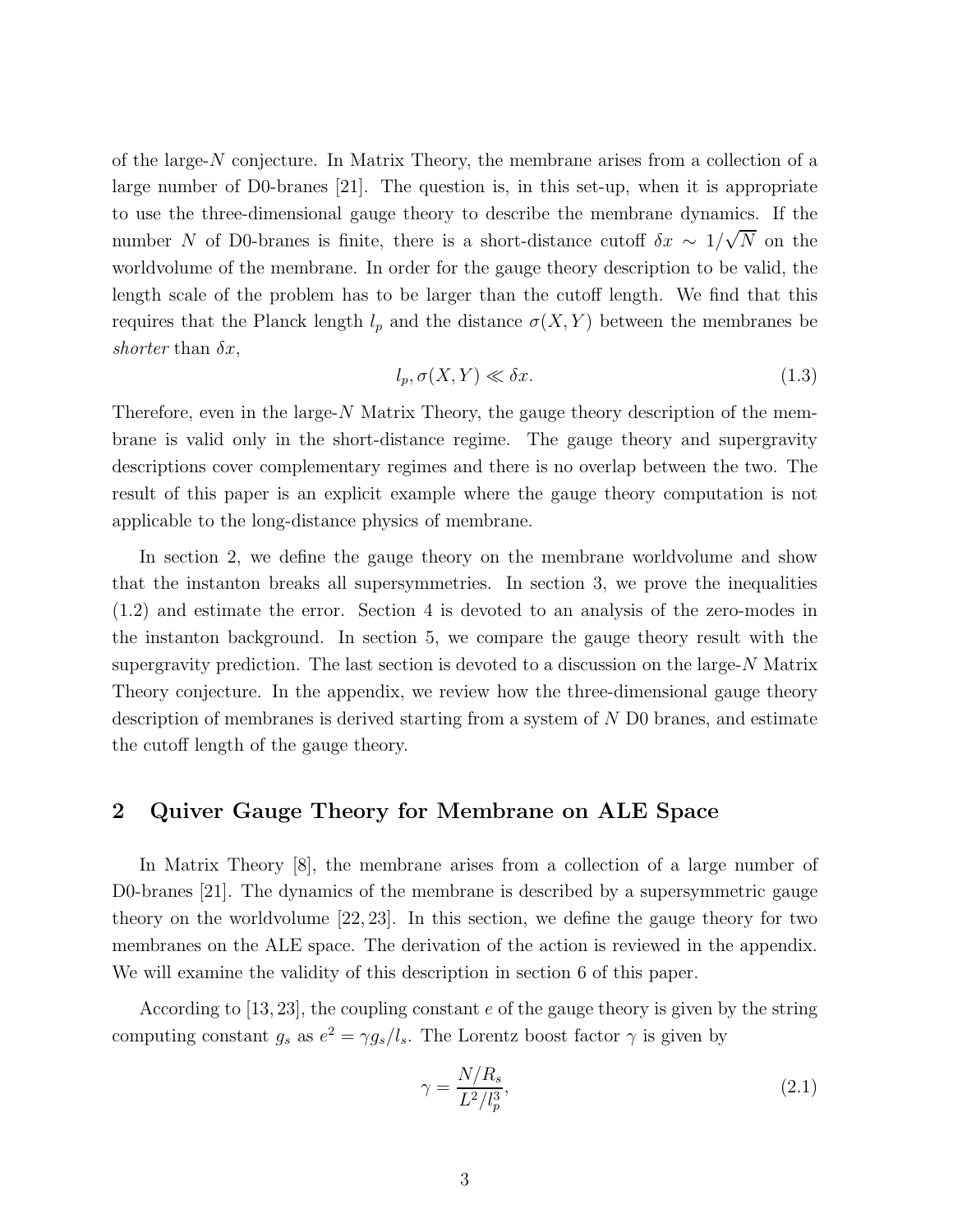of the large-N conjecture. In Matrix Theory, the membrane arises from a collection of a large number of D0-branes [21]. The question is, in this set-up, when it is appropriate to use the three-dimensional gauge theory to describe the membrane dynamics. If the number N of D0-branes is finite, there is a short-distance cutoff  $\delta x \sim 1/\sqrt{N}$  on the worldvolume of the membrane. In order for the gauge theory description to be valid, the length scale of the problem has to be larger than the cutoff length. We find that this requires that the Planck length  $l_p$  and the distance  $\sigma(X, Y)$  between the membranes be shorter than  $\delta x$ ,

$$
l_p, \sigma(X, Y) \ll \delta x. \tag{1.3}
$$

Therefore, even in the large- $N$  Matrix Theory, the gauge theory description of the membrane is valid only in the short-distance regime. The gauge theory and supergravity descriptions cover complementary regimes and there is no overlap between the two. The result of this paper is an explicit example where the gauge theory computation is not applicable to the long-distance physics of membrane.

In section 2, we define the gauge theory on the membrane worldvolume and show that the instanton breaks all supersymmetries. In section 3, we prove the inequalities (1.2) and estimate the error. Section 4 is devoted to an analysis of the zero-modes in the instanton background. In section 5, we compare the gauge theory result with the supergravity prediction. The last section is devoted to a discussion on the large-N Matrix Theory conjecture. In the appendix, we review how the three-dimensional gauge theory description of membranes is derived starting from a system of N D0 branes, and estimate the cutoff length of the gauge theory.

## 2 Quiver Gauge Theory for Membrane on ALE Space

In Matrix Theory [8], the membrane arises from a collection of a large number of D0-branes [21]. The dynamics of the membrane is described by a supersymmetric gauge theory on the worldvolume [22, 23]. In this section, we define the gauge theory for two membranes on the ALE space. The derivation of the action is reviewed in the appendix. We will examine the validity of this description in section 6 of this paper.

According to [13, 23], the coupling constant e of the gauge theory is given by the string computing constant  $g_s$  as  $e^2 = \gamma g_s/l_s$ . The Lorentz boost factor  $\gamma$  is given by

$$
\gamma = \frac{N/R_s}{L^2/l_p^3},\tag{2.1}
$$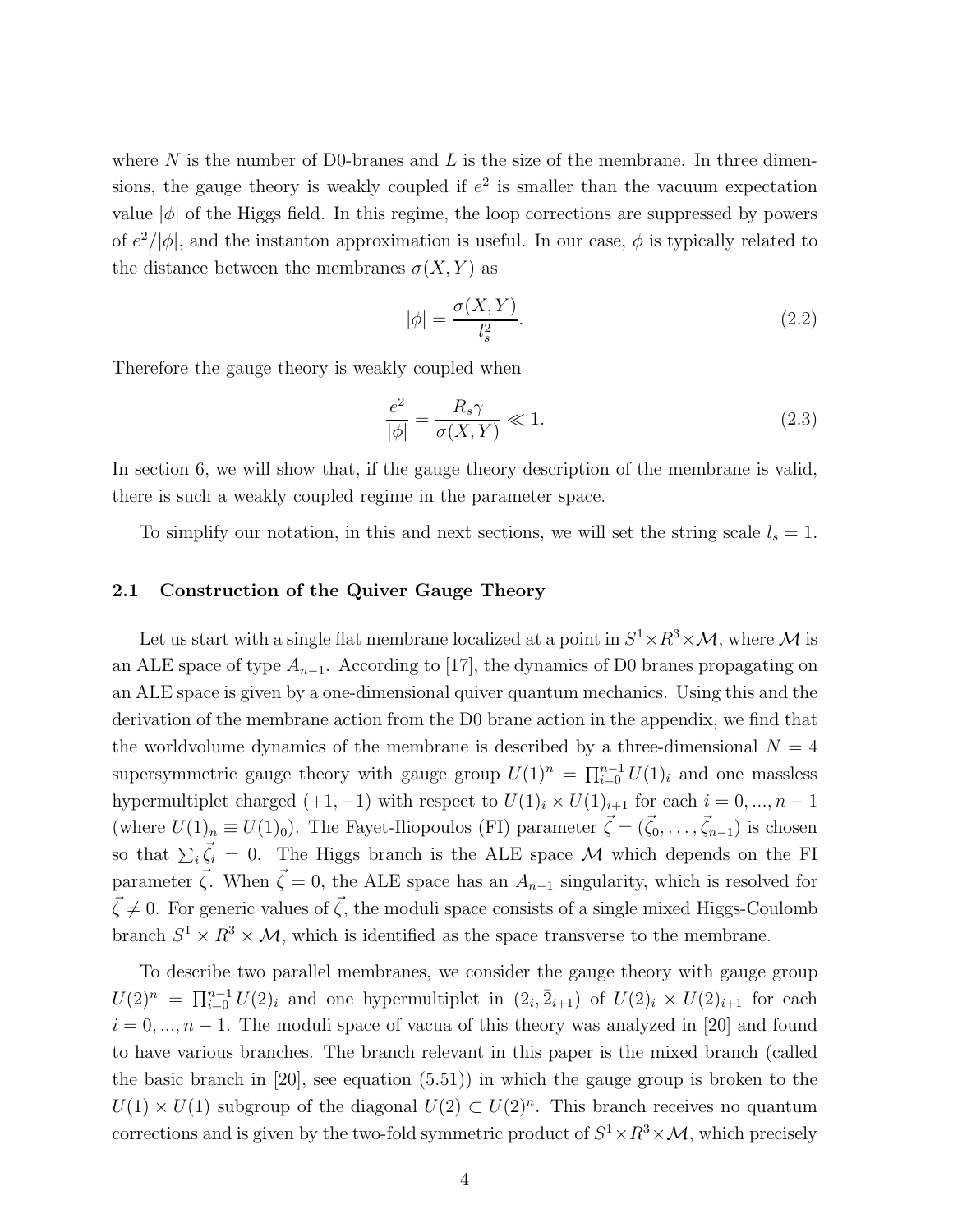where  $N$  is the number of D0-branes and  $L$  is the size of the membrane. In three dimensions, the gauge theory is weakly coupled if  $e^2$  is smaller than the vacuum expectation value  $|\phi|$  of the Higgs field. In this regime, the loop corrections are suppressed by powers of  $e^2/|\phi|$ , and the instanton approximation is useful. In our case,  $\phi$  is typically related to the distance between the membranes  $\sigma(X, Y)$  as

$$
|\phi| = \frac{\sigma(X, Y)}{l_s^2}.\tag{2.2}
$$

Therefore the gauge theory is weakly coupled when

$$
\frac{e^2}{|\phi|} = \frac{R_s \gamma}{\sigma(X, Y)} \ll 1. \tag{2.3}
$$

In section 6, we will show that, if the gauge theory description of the membrane is valid, there is such a weakly coupled regime in the parameter space.

To simplify our notation, in this and next sections, we will set the string scale  $l_s = 1$ .

### 2.1 Construction of the Quiver Gauge Theory

Let us start with a single flat membrane localized at a point in  $S^1 \times R^3 \times \mathcal{M}$ , where  $\mathcal M$  is an ALE space of type  $A_{n-1}$ . According to [17], the dynamics of D0 branes propagating on an ALE space is given by a one-dimensional quiver quantum mechanics. Using this and the derivation of the membrane action from the D0 brane action in the appendix, we find that the worldvolume dynamics of the membrane is described by a three-dimensional  $N = 4$ supersymmetric gauge theory with gauge group  $U(1)^n = \prod_{i=0}^{n-1} U(1)_i$  and one massless hypermultiplet charged  $(+1, -1)$  with respect to  $U(1)_i \times U(1)_{i+1}$  for each  $i = 0, ..., n-1$ (where  $U(1)_n \equiv U(1)_0$ ). The Fayet-Iliopoulos (FI) parameter  $\vec{\zeta} = (\vec{\zeta}_0, \dots, \vec{\zeta}_{n-1})$  is chosen so that  $\sum_i \vec{\zeta}_i = 0$ . The Higgs branch is the ALE space M which depends on the FI parameter  $\vec{\zeta}$ . When  $\vec{\zeta} = 0$ , the ALE space has an  $A_{n-1}$  singularity, which is resolved for  $\vec{\zeta} \neq 0$ . For generic values of  $\vec{\zeta}$ , the moduli space consists of a single mixed Higgs-Coulomb branch  $S^1 \times R^3 \times M$ , which is identified as the space transverse to the membrane.

To describe two parallel membranes, we consider the gauge theory with gauge group  $U(2)^n = \prod_{i=0}^{n-1} U(2)_i$  and one hypermultiplet in  $(2_i, \bar{2}_{i+1})$  of  $U(2)_i \times U(2)_{i+1}$  for each  $i = 0, ..., n - 1$ . The moduli space of vacua of this theory was analyzed in [20] and found to have various branches. The branch relevant in this paper is the mixed branch (called the basic branch in [20], see equation (5.51)) in which the gauge group is broken to the  $U(1) \times U(1)$  subgroup of the diagonal  $U(2) \subset U(2)^n$ . This branch receives no quantum corrections and is given by the two-fold symmetric product of  $S^1 \times R^3 \times \mathcal{M}$ , which precisely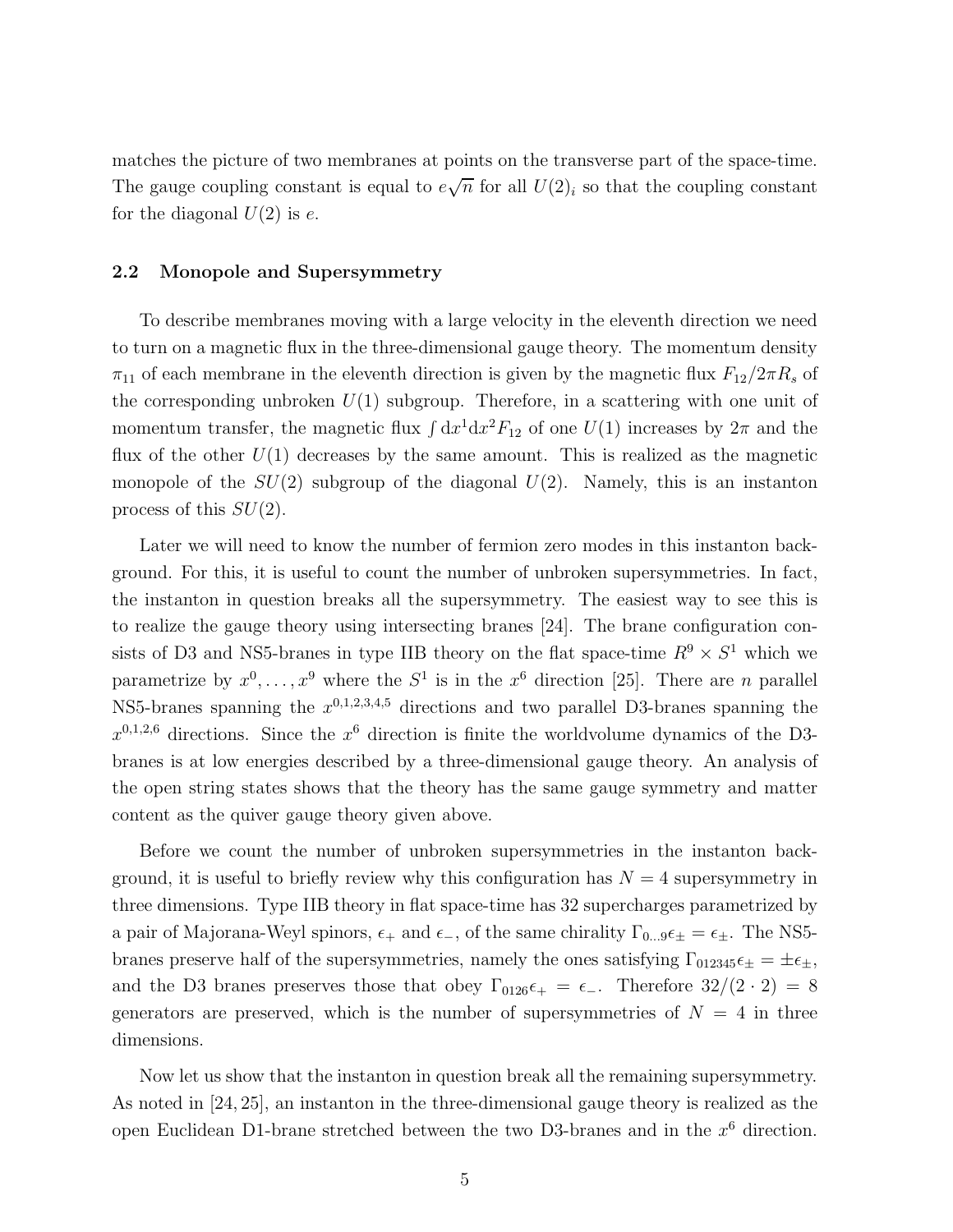matches the picture of two membranes at points on the transverse part of the space-time. The gauge coupling constant is equal to  $e\sqrt{n}$  for all  $U(2)_i$  so that the coupling constant for the diagonal  $U(2)$  is e.

### 2.2 Monopole and Supersymmetry

To describe membranes moving with a large velocity in the eleventh direction we need to turn on a magnetic flux in the three-dimensional gauge theory. The momentum density  $\pi_{11}$  of each membrane in the eleventh direction is given by the magnetic flux  $F_{12}/2\pi R_s$  of the corresponding unbroken  $U(1)$  subgroup. Therefore, in a scattering with one unit of momentum transfer, the magnetic flux  $\int dx^1 dx^2 F_{12}$  of one  $U(1)$  increases by  $2\pi$  and the flux of the other  $U(1)$  decreases by the same amount. This is realized as the magnetic monopole of the  $SU(2)$  subgroup of the diagonal  $U(2)$ . Namely, this is an instanton process of this  $SU(2)$ .

Later we will need to know the number of fermion zero modes in this instanton background. For this, it is useful to count the number of unbroken supersymmetries. In fact, the instanton in question breaks all the supersymmetry. The easiest way to see this is to realize the gauge theory using intersecting branes [24]. The brane configuration consists of D3 and NS5-branes in type IIB theory on the flat space-time  $R^9 \times S^1$  which we parametrize by  $x^0, \ldots, x^9$  where the  $S^1$  is in the  $x^6$  direction [25]. There are *n* parallel NS5-branes spanning the  $x^{0,1,2,3,4,5}$  directions and two parallel D3-branes spanning the  $x^{0,1,2,6}$  directions. Since the  $x^6$  direction is finite the worldvolume dynamics of the D3branes is at low energies described by a three-dimensional gauge theory. An analysis of the open string states shows that the theory has the same gauge symmetry and matter content as the quiver gauge theory given above.

Before we count the number of unbroken supersymmetries in the instanton background, it is useful to briefly review why this configuration has  $N = 4$  supersymmetry in three dimensions. Type IIB theory in flat space-time has 32 supercharges parametrized by a pair of Majorana-Weyl spinors,  $\epsilon_+$  and  $\epsilon_-$ , of the same chirality  $\Gamma_{0...9}\epsilon_{\pm} = \epsilon_{\pm}$ . The NS5branes preserve half of the supersymmetries, namely the ones satisfying  $\Gamma_{012345}\epsilon_{\pm} = \pm \epsilon_{\pm}$ , and the D3 branes preserves those that obey  $\Gamma_{0126} \epsilon_{+} = \epsilon_{-}$ . Therefore  $32/(2 \cdot 2) = 8$ generators are preserved, which is the number of supersymmetries of  $N = 4$  in three dimensions.

Now let us show that the instanton in question break all the remaining supersymmetry. As noted in [24, 25], an instanton in the three-dimensional gauge theory is realized as the open Euclidean D1-brane stretched between the two D3-branes and in the  $x^6$  direction.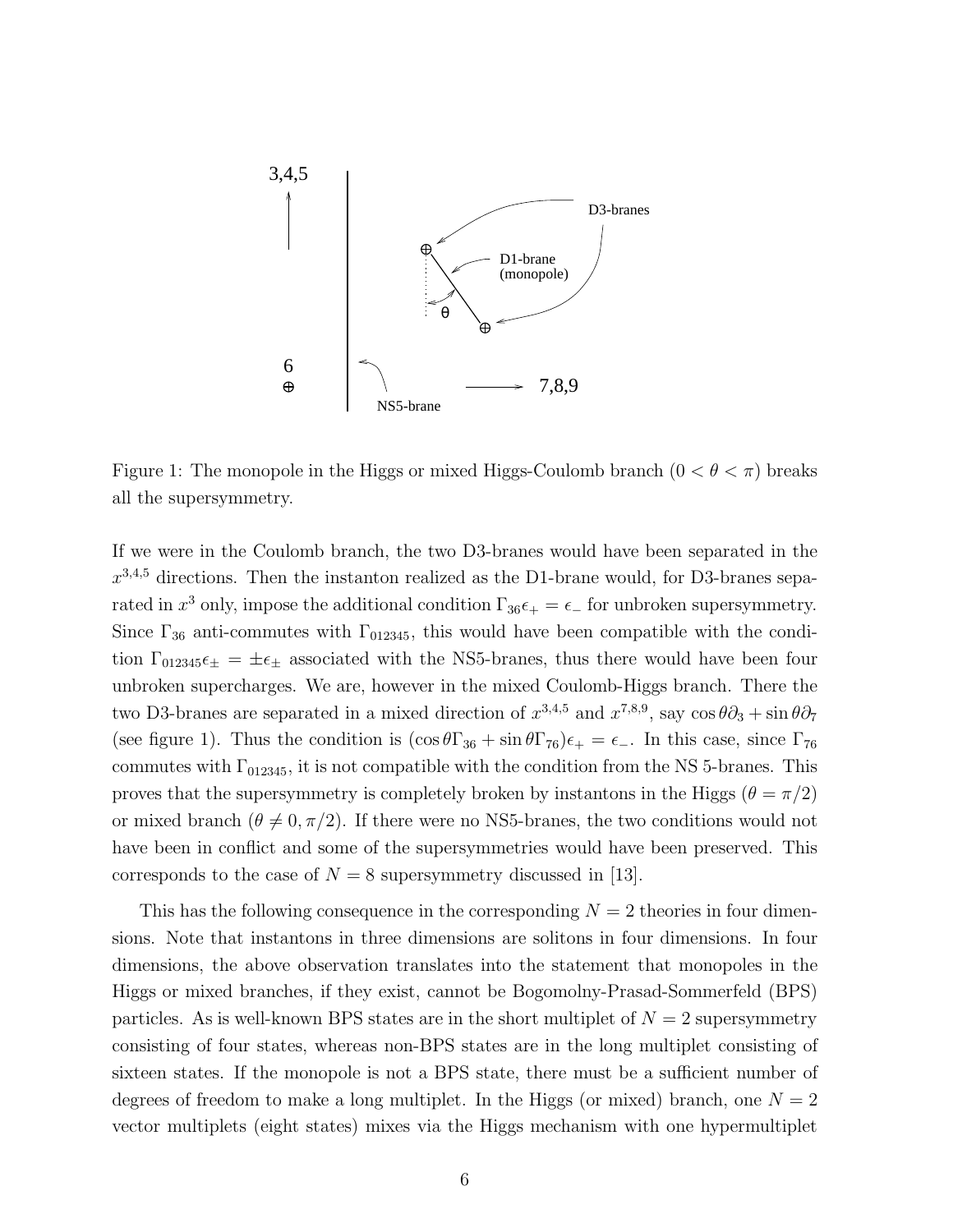

Figure 1: The monopole in the Higgs or mixed Higgs-Coulomb branch  $(0 < \theta < \pi)$  breaks all the supersymmetry.

If we were in the Coulomb branch, the two D3-branes would have been separated in the  $x^{3,4,5}$  directions. Then the instanton realized as the D1-brane would, for D3-branes separated in  $x^3$  only, impose the additional condition  $\Gamma_{36}\epsilon_+ = \epsilon_-$  for unbroken supersymmetry. Since  $\Gamma_{36}$  anti-commutes with  $\Gamma_{012345}$ , this would have been compatible with the condition  $\Gamma_{012345}\epsilon_{\pm} = \pm \epsilon_{\pm}$  associated with the NS5-branes, thus there would have been four unbroken supercharges. We are, however in the mixed Coulomb-Higgs branch. There the two D3-branes are separated in a mixed direction of  $x^{3,4,5}$  and  $x^{7,8,9}$ , say  $\cos \theta \partial_3 + \sin \theta \partial_7$ (see figure 1). Thus the condition is  $(\cos \theta \Gamma_{36} + \sin \theta \Gamma_{76})\epsilon_+ = \epsilon_-$ . In this case, since  $\Gamma_{76}$ commutes with  $\Gamma_{012345}$ , it is not compatible with the condition from the NS 5-branes. This proves that the supersymmetry is completely broken by instantons in the Higgs ( $\theta = \pi/2$ ) or mixed branch ( $\theta \neq 0, \pi/2$ ). If there were no NS5-branes, the two conditions would not have been in conflict and some of the supersymmetries would have been preserved. This corresponds to the case of  $N = 8$  supersymmetry discussed in [13].

This has the following consequence in the corresponding  $N = 2$  theories in four dimensions. Note that instantons in three dimensions are solitons in four dimensions. In four dimensions, the above observation translates into the statement that monopoles in the Higgs or mixed branches, if they exist, cannot be Bogomolny-Prasad-Sommerfeld (BPS) particles. As is well-known BPS states are in the short multiplet of  $N = 2$  supersymmetry consisting of four states, whereas non-BPS states are in the long multiplet consisting of sixteen states. If the monopole is not a BPS state, there must be a sufficient number of degrees of freedom to make a long multiplet. In the Higgs (or mixed) branch, one  $N = 2$ vector multiplets (eight states) mixes via the Higgs mechanism with one hypermultiplet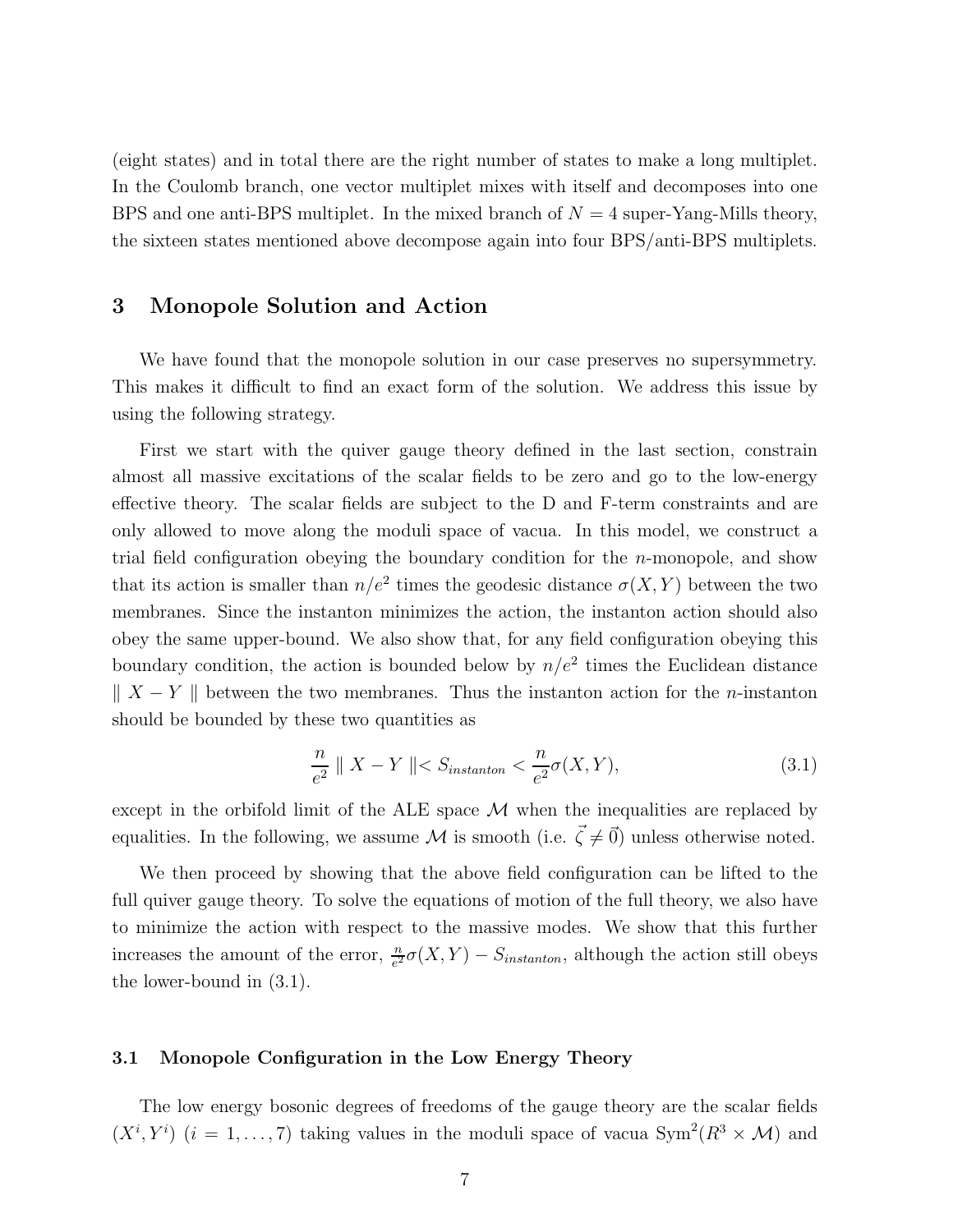(eight states) and in total there are the right number of states to make a long multiplet. In the Coulomb branch, one vector multiplet mixes with itself and decomposes into one BPS and one anti-BPS multiplet. In the mixed branch of  $N = 4$  super-Yang-Mills theory, the sixteen states mentioned above decompose again into four BPS/anti-BPS multiplets.

### 3 Monopole Solution and Action

We have found that the monopole solution in our case preserves no supersymmetry. This makes it difficult to find an exact form of the solution. We address this issue by using the following strategy.

First we start with the quiver gauge theory defined in the last section, constrain almost all massive excitations of the scalar fields to be zero and go to the low-energy effective theory. The scalar fields are subject to the D and F-term constraints and are only allowed to move along the moduli space of vacua. In this model, we construct a trial field configuration obeying the boundary condition for the n-monopole, and show that its action is smaller than  $n/e^2$  times the geodesic distance  $\sigma(X, Y)$  between the two membranes. Since the instanton minimizes the action, the instanton action should also obey the same upper-bound. We also show that, for any field configuration obeying this boundary condition, the action is bounded below by  $n/e^2$  times the Euclidean distance  $\| X - Y \|$  between the two membranes. Thus the instanton action for the n-instanton should be bounded by these two quantities as

$$
\frac{n}{e^2} \parallel X - Y \parallel < S_{instanton} < \frac{n}{e^2} \sigma(X, Y), \tag{3.1}
$$

except in the orbifold limit of the ALE space  $M$  when the inequalities are replaced by equalities. In the following, we assume M is smooth (i.e.  $\vec{\zeta} \neq \vec{0}$ ) unless otherwise noted.

We then proceed by showing that the above field configuration can be lifted to the full quiver gauge theory. To solve the equations of motion of the full theory, we also have to minimize the action with respect to the massive modes. We show that this further increases the amount of the error,  $\frac{n}{e^2} \sigma(X, Y) - S_{instanton}$ , although the action still obeys the lower-bound in (3.1).

#### 3.1 Monopole Configuration in the Low Energy Theory

The low energy bosonic degrees of freedoms of the gauge theory are the scalar fields  $(X^i, Y^i)$   $(i = 1, ..., 7)$  taking values in the moduli space of vacua  $Sym^2(R^3 \times M)$  and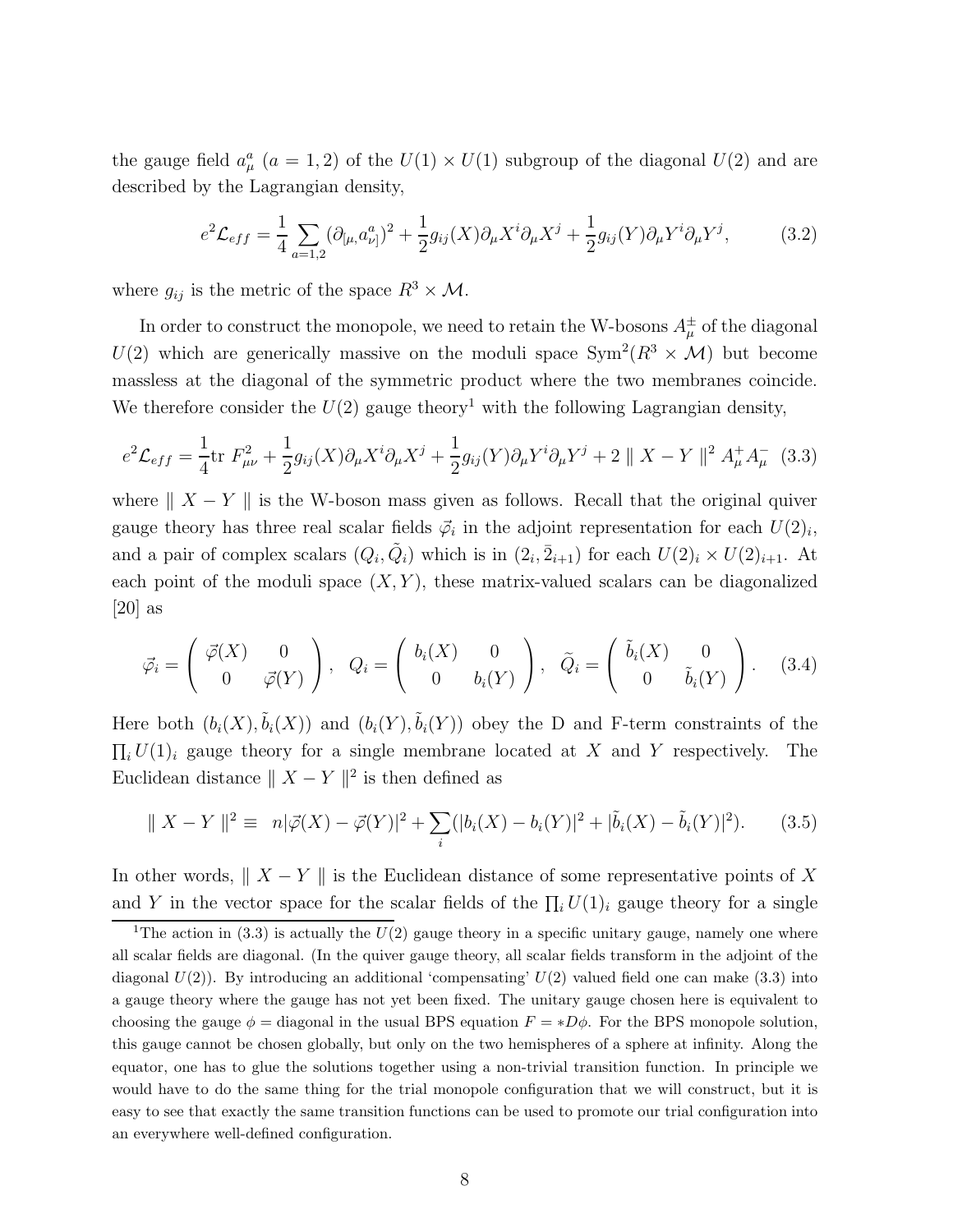the gauge field  $a_{\mu}^{a}$  ( $a = 1, 2$ ) of the  $U(1) \times U(1)$  subgroup of the diagonal  $U(2)$  and are described by the Lagrangian density,

$$
e^{2}\mathcal{L}_{eff} = \frac{1}{4} \sum_{a=1,2} (\partial_{[\mu,} a^{a}_{\nu]})^{2} + \frac{1}{2} g_{ij}(X) \partial_{\mu} X^{i} \partial_{\mu} X^{j} + \frac{1}{2} g_{ij}(Y) \partial_{\mu} Y^{i} \partial_{\mu} Y^{j}, \tag{3.2}
$$

where  $g_{ij}$  is the metric of the space  $R^3 \times M$ .

In order to construct the monopole, we need to retain the W-bosons  $A^{\pm}_{\mu}$  of the diagonal  $U(2)$  which are generically massive on the moduli space  $Sym^2(R^3 \times M)$  but become massless at the diagonal of the symmetric product where the two membranes coincide. We therefore consider the  $U(2)$  gauge theory<sup>1</sup> with the following Lagrangian density,

$$
e^{2}\mathcal{L}_{eff} = \frac{1}{4}\text{tr}\ F_{\mu\nu}^{2} + \frac{1}{2}g_{ij}(X)\partial_{\mu}X^{i}\partial_{\mu}X^{j} + \frac{1}{2}g_{ij}(Y)\partial_{\mu}Y^{i}\partial_{\mu}Y^{j} + 2 \parallel X - Y \parallel^{2} A_{\mu}^{+} A_{\mu}^{-} \quad (3.3)
$$

where  $|| X - Y ||$  is the W-boson mass given as follows. Recall that the original quiver gauge theory has three real scalar fields  $\vec{\varphi}_i$  in the adjoint representation for each  $U(2)_i$ , and a pair of complex scalars  $(Q_i, \tilde{Q}_i)$  which is in  $(2_i, \bar{2}_{i+1})$  for each  $U(2)_i \times U(2)_{i+1}$ . At each point of the moduli space  $(X, Y)$ , these matrix-valued scalars can be diagonalized  $[20]$  as

$$
\vec{\varphi}_i = \begin{pmatrix} \vec{\varphi}(X) & 0 \\ 0 & \vec{\varphi}(Y) \end{pmatrix}, \quad Q_i = \begin{pmatrix} b_i(X) & 0 \\ 0 & b_i(Y) \end{pmatrix}, \quad \tilde{Q}_i = \begin{pmatrix} \tilde{b}_i(X) & 0 \\ 0 & \tilde{b}_i(Y) \end{pmatrix}.
$$
 (3.4)

Here both  $(b_i(X), \tilde{b}_i(X))$  and  $(b_i(Y), \tilde{b}_i(Y))$  obey the D and F-term constraints of the  $\prod_i U(1)_i$  gauge theory for a single membrane located at X and Y respectively. The Euclidean distance  $|| X - Y ||^2$  is then defined as

$$
\|X - Y\|^2 \equiv n|\vec{\varphi}(X) - \vec{\varphi}(Y)|^2 + \sum_i (|b_i(X) - b_i(Y)|^2 + |\tilde{b}_i(X) - \tilde{b}_i(Y)|^2). \tag{3.5}
$$

In other words,  $\| X - Y \|$  is the Euclidean distance of some representative points of X and Y in the vector space for the scalar fields of the  $\prod_i U(1)_i$  gauge theory for a single

<sup>&</sup>lt;sup>1</sup>The action in (3.3) is actually the  $\overline{U(2)}$  gauge theory in a specific unitary gauge, namely one where all scalar fields are diagonal. (In the quiver gauge theory, all scalar fields transform in the adjoint of the diagonal  $U(2)$ ). By introducing an additional 'compensating'  $U(2)$  valued field one can make (3.3) into a gauge theory where the gauge has not yet been fixed. The unitary gauge chosen here is equivalent to choosing the gauge  $\phi =$  diagonal in the usual BPS equation  $F = *D\phi$ . For the BPS monopole solution, this gauge cannot be chosen globally, but only on the two hemispheres of a sphere at infinity. Along the equator, one has to glue the solutions together using a non-trivial transition function. In principle we would have to do the same thing for the trial monopole configuration that we will construct, but it is easy to see that exactly the same transition functions can be used to promote our trial configuration into an everywhere well-defined configuration.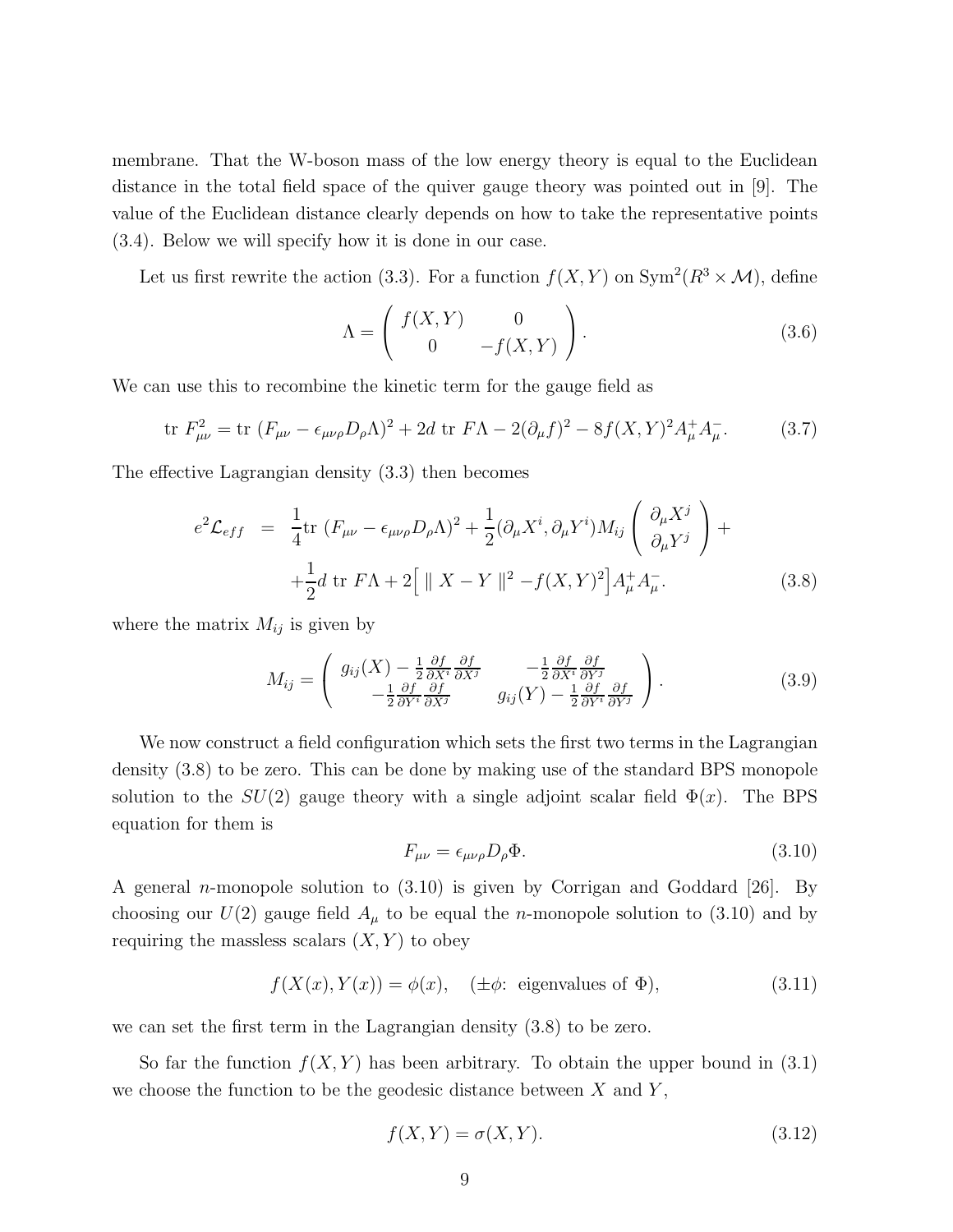membrane. That the W-boson mass of the low energy theory is equal to the Euclidean distance in the total field space of the quiver gauge theory was pointed out in [9]. The value of the Euclidean distance clearly depends on how to take the representative points (3.4). Below we will specify how it is done in our case.

Let us first rewrite the action (3.3). For a function  $f(X, Y)$  on  $\text{Sym}^2(R^3 \times \mathcal{M})$ , define

$$
\Lambda = \left( \begin{array}{cc} f(X,Y) & 0 \\ 0 & -f(X,Y) \end{array} \right). \tag{3.6}
$$

We can use this to recombine the kinetic term for the gauge field as

$$
\text{tr } F_{\mu\nu}^2 = \text{tr } (F_{\mu\nu} - \epsilon_{\mu\nu\rho} D_{\rho} \Lambda)^2 + 2d \text{ tr } F \Lambda - 2(\partial_{\mu} f)^2 - 8f(X, Y)^2 A_{\mu}^+ A_{\mu}^-.
$$
 (3.7)

The effective Lagrangian density (3.3) then becomes

$$
e^{2}\mathcal{L}_{eff} = \frac{1}{4}\text{tr}\left(F_{\mu\nu} - \epsilon_{\mu\nu\rho}D_{\rho}\Lambda\right)^{2} + \frac{1}{2}(\partial_{\mu}X^{i}, \partial_{\mu}Y^{i})M_{ij}\left(\frac{\partial_{\mu}X^{j}}{\partial_{\mu}Y^{j}}\right) +
$$

$$
+\frac{1}{2}d\text{ tr}\left[F\Lambda + 2\left[\parallel X - Y\parallel^{2} - f(X, Y)^{2}\right]A_{\mu}^{+}A_{\mu}^{-}.\tag{3.8}
$$

where the matrix  $M_{ij}$  is given by

$$
M_{ij} = \begin{pmatrix} g_{ij}(X) - \frac{1}{2} \frac{\partial f}{\partial X^i} \frac{\partial f}{\partial X^j} & -\frac{1}{2} \frac{\partial f}{\partial X^i} \frac{\partial f}{\partial Y^j} \\ -\frac{1}{2} \frac{\partial f}{\partial Y^i} \frac{\partial f}{\partial X^j} & g_{ij}(Y) - \frac{1}{2} \frac{\partial f}{\partial Y^i} \frac{\partial f}{\partial Y^j} \end{pmatrix}.
$$
 (3.9)

We now construct a field configuration which sets the first two terms in the Lagrangian density (3.8) to be zero. This can be done by making use of the standard BPS monopole solution to the  $SU(2)$  gauge theory with a single adjoint scalar field  $\Phi(x)$ . The BPS equation for them is

$$
F_{\mu\nu} = \epsilon_{\mu\nu\rho} D_{\rho} \Phi. \tag{3.10}
$$

A general n-monopole solution to (3.10) is given by Corrigan and Goddard [26]. By choosing our  $U(2)$  gauge field  $A_{\mu}$  to be equal the *n*-monopole solution to (3.10) and by requiring the massless scalars  $(X, Y)$  to obey

$$
f(X(x), Y(x)) = \phi(x), \quad (\pm \phi: \text{ eigenvalues of } \Phi), \tag{3.11}
$$

we can set the first term in the Lagrangian density (3.8) to be zero.

So far the function  $f(X, Y)$  has been arbitrary. To obtain the upper bound in (3.1) we choose the function to be the geodesic distance between  $X$  and  $Y$ ,

$$
f(X,Y) = \sigma(X,Y). \tag{3.12}
$$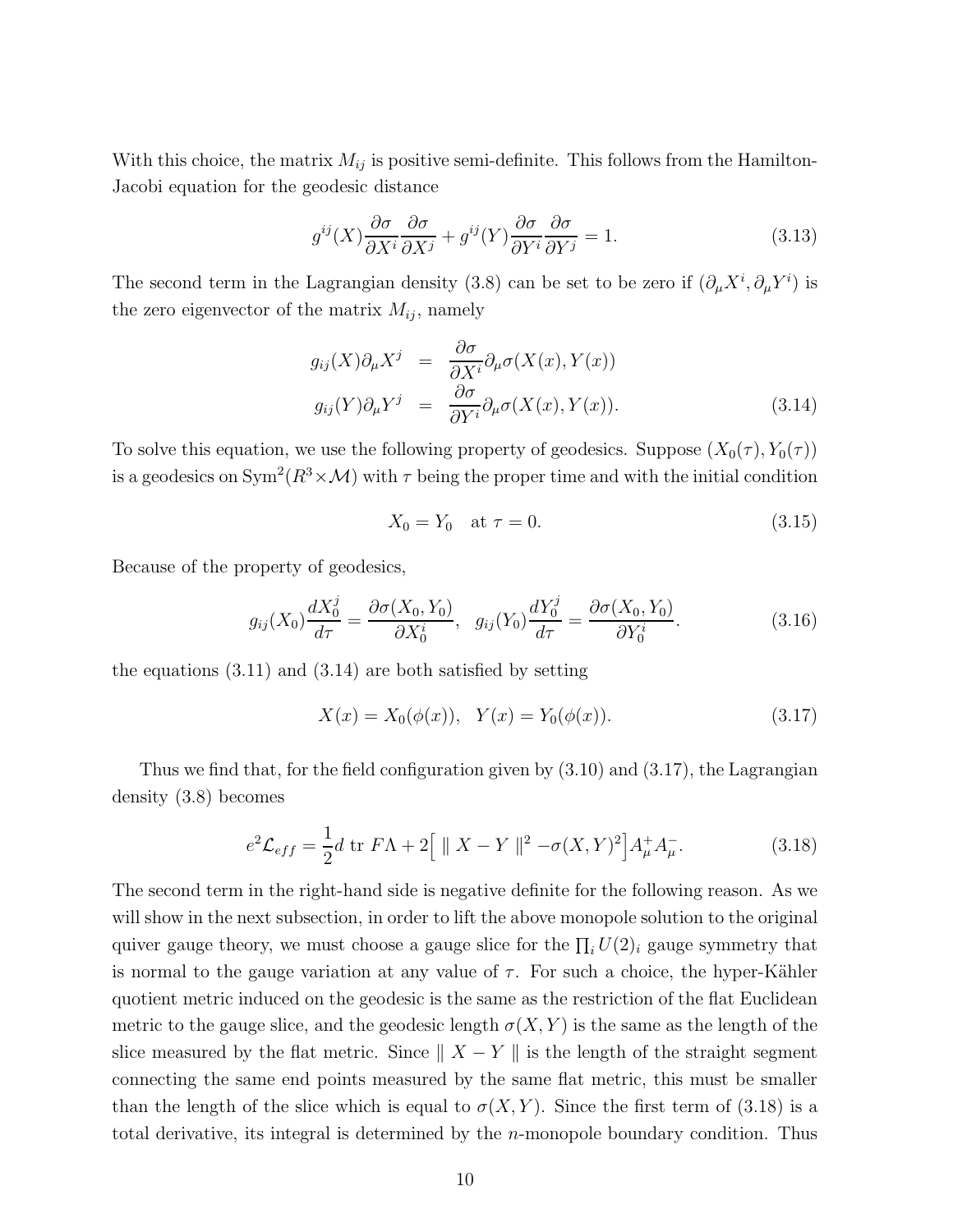With this choice, the matrix  $M_{ij}$  is positive semi-definite. This follows from the Hamilton-Jacobi equation for the geodesic distance

$$
g^{ij}(X)\frac{\partial\sigma}{\partial X^i}\frac{\partial\sigma}{\partial X^j} + g^{ij}(Y)\frac{\partial\sigma}{\partial Y^i}\frac{\partial\sigma}{\partial Y^j} = 1.
$$
\n(3.13)

The second term in the Lagrangian density (3.8) can be set to be zero if  $(\partial_{\mu}X^{i}, \partial_{\mu}Y^{i})$  is the zero eigenvector of the matrix  $M_{ij}$ , namely

$$
g_{ij}(X)\partial_{\mu}X^{j} = \frac{\partial \sigma}{\partial X^{i}}\partial_{\mu}\sigma(X(x), Y(x))
$$
  
\n
$$
g_{ij}(Y)\partial_{\mu}Y^{j} = \frac{\partial \sigma}{\partial Y^{i}}\partial_{\mu}\sigma(X(x), Y(x)).
$$
\n(3.14)

To solve this equation, we use the following property of geodesics. Suppose  $(X_0(\tau), Y_0(\tau))$ is a geodesics on  $Sym^2(R^3 \times M)$  with  $\tau$  being the proper time and with the initial condition

$$
X_0 = Y_0 \quad \text{at } \tau = 0. \tag{3.15}
$$

Because of the property of geodesics,

$$
g_{ij}(X_0)\frac{dX_0^j}{d\tau} = \frac{\partial \sigma(X_0, Y_0)}{\partial X_0^i}, \ \ g_{ij}(Y_0)\frac{dY_0^j}{d\tau} = \frac{\partial \sigma(X_0, Y_0)}{\partial Y_0^i}.
$$
 (3.16)

the equations  $(3.11)$  and  $(3.14)$  are both satisfied by setting

$$
X(x) = X_0(\phi(x)), \quad Y(x) = Y_0(\phi(x)).
$$
\n(3.17)

Thus we find that, for the field configuration given by (3.10) and (3.17), the Lagrangian density (3.8) becomes

$$
e^{2}\mathcal{L}_{eff} = \frac{1}{2}d \text{ tr } F\Lambda + 2\Big[\parallel X - Y \parallel^{2} - \sigma(X, Y)^{2}\Big]A_{\mu}^{+}A_{\mu}^{-}.
$$
 (3.18)

The second term in the right-hand side is negative definite for the following reason. As we will show in the next subsection, in order to lift the above monopole solution to the original quiver gauge theory, we must choose a gauge slice for the  $\prod_i U(2)_i$  gauge symmetry that is normal to the gauge variation at any value of  $\tau$ . For such a choice, the hyper-Kähler quotient metric induced on the geodesic is the same as the restriction of the flat Euclidean metric to the gauge slice, and the geodesic length  $\sigma(X, Y)$  is the same as the length of the slice measured by the flat metric. Since  $|| X - Y ||$  is the length of the straight segment connecting the same end points measured by the same flat metric, this must be smaller than the length of the slice which is equal to  $\sigma(X, Y)$ . Since the first term of (3.18) is a total derivative, its integral is determined by the n-monopole boundary condition. Thus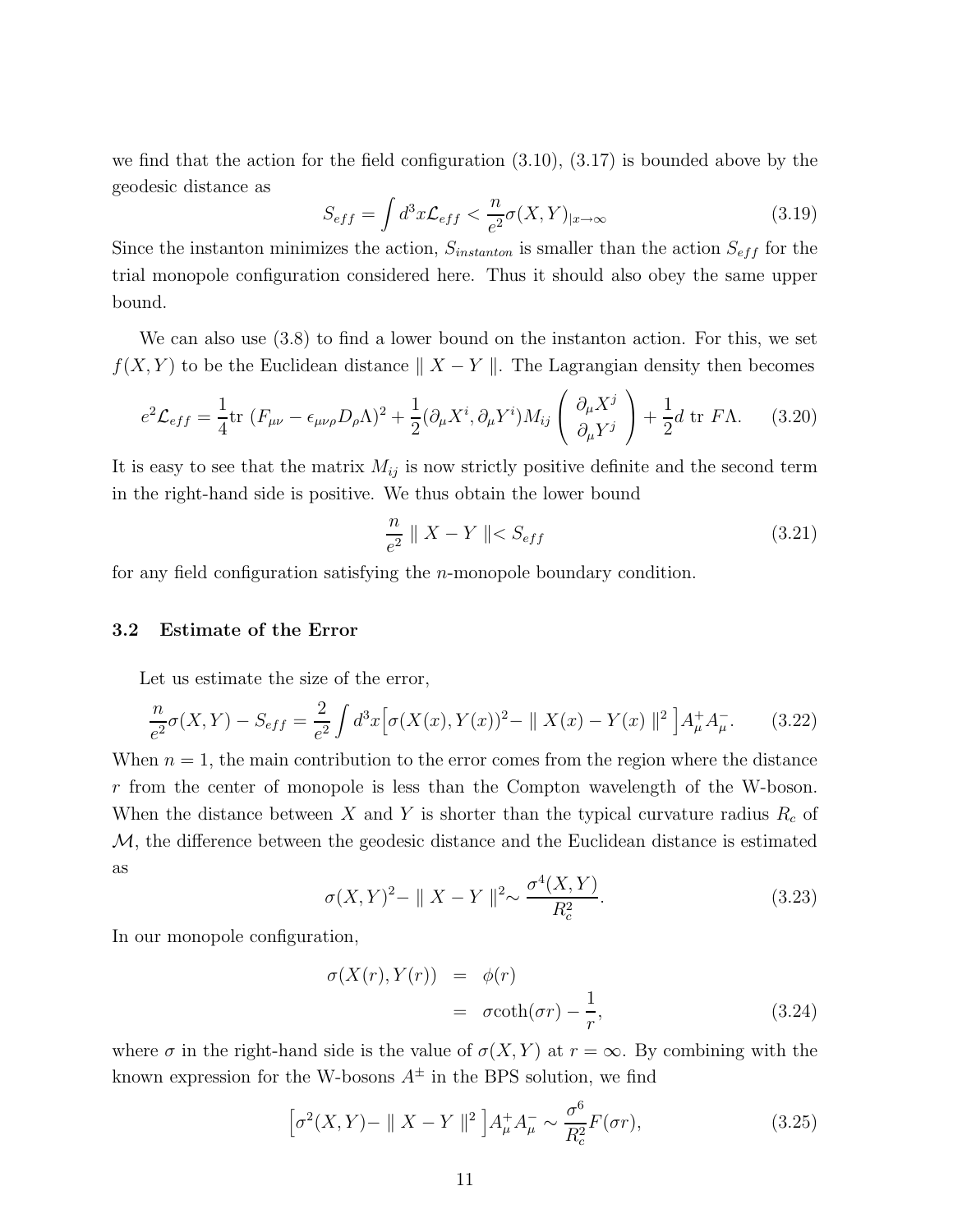we find that the action for the field configuration (3.10), (3.17) is bounded above by the geodesic distance as

$$
S_{eff} = \int d^3x \mathcal{L}_{eff} < \frac{n}{e^2} \sigma(X, Y)_{|x \to \infty} \tag{3.19}
$$

Since the instanton minimizes the action,  $S_{instanton}$  is smaller than the action  $S_{eff}$  for the trial monopole configuration considered here. Thus it should also obey the same upper bound.

We can also use (3.8) to find a lower bound on the instanton action. For this, we set  $f(X, Y)$  to be the Euclidean distance  $|| X - Y ||$ . The Lagrangian density then becomes

$$
e^{2}\mathcal{L}_{eff} = \frac{1}{4}\text{tr}\left(F_{\mu\nu} - \epsilon_{\mu\nu\rho}D_{\rho}\Lambda\right)^{2} + \frac{1}{2}(\partial_{\mu}X^{i}, \partial_{\mu}Y^{i})M_{ij}\left(\frac{\partial_{\mu}X^{j}}{\partial_{\mu}Y^{j}}\right) + \frac{1}{2}d\text{ tr }F\Lambda. \tag{3.20}
$$

It is easy to see that the matrix  $M_{ij}$  is now strictly positive definite and the second term in the right-hand side is positive. We thus obtain the lower bound

$$
\frac{n}{e^2} \parallel X - Y \parallel < S_{eff} \tag{3.21}
$$

for any field configuration satisfying the  $n$ -monopole boundary condition.

#### 3.2 Estimate of the Error

Let us estimate the size of the error,

$$
\frac{n}{e^2}\sigma(X,Y) - S_{eff} = \frac{2}{e^2} \int d^3x \Big[ \sigma(X(x),Y(x))^2 - ||X(x) - Y(x)||^2 \Big] A^+_{\mu} A^-_{\mu}.
$$
 (3.22)

When  $n = 1$ , the main contribution to the error comes from the region where the distance r from the center of monopole is less than the Compton wavelength of the W-boson. When the distance between X and Y is shorter than the typical curvature radius  $R_c$  of M, the difference between the geodesic distance and the Euclidean distance is estimated as

$$
\sigma(X,Y)^{2} - ||X - Y||^{2} \sim \frac{\sigma^{4}(X,Y)}{R_{c}^{2}}.
$$
\n(3.23)

In our monopole configuration,

$$
\sigma(X(r), Y(r)) = \phi(r)
$$
  
=  $\sigma \coth(\sigma r) - \frac{1}{r}$ , (3.24)

where  $\sigma$  in the right-hand side is the value of  $\sigma(X, Y)$  at  $r = \infty$ . By combining with the known expression for the W-bosons  $A^{\pm}$  in the BPS solution, we find

$$
\left[\sigma^2(X,Y) - \|X - Y\|^2\right]A^+_\mu A^-_\mu \sim \frac{\sigma^6}{R_c^2}F(\sigma r),\tag{3.25}
$$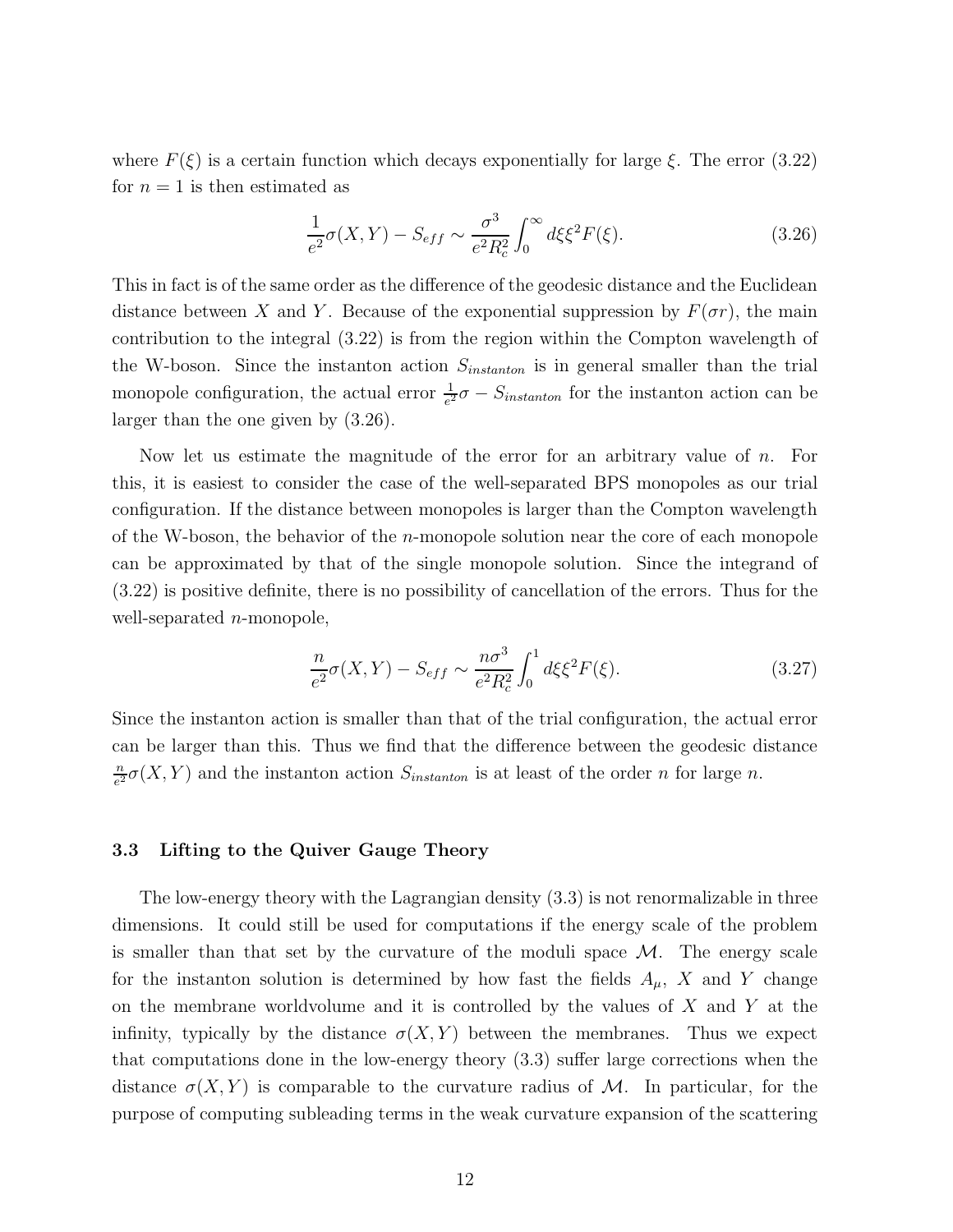where  $F(\xi)$  is a certain function which decays exponentially for large  $\xi$ . The error (3.22) for  $n = 1$  is then estimated as

$$
\frac{1}{e^2}\sigma(X,Y) - S_{eff} \sim \frac{\sigma^3}{e^2 R_c^2} \int_0^\infty d\xi \xi^2 F(\xi). \tag{3.26}
$$

This in fact is of the same order as the difference of the geodesic distance and the Euclidean distance between X and Y. Because of the exponential suppression by  $F(\sigma r)$ , the main contribution to the integral (3.22) is from the region within the Compton wavelength of the W-boson. Since the instanton action  $S<sub>instanton</sub>$  is in general smaller than the trial monopole configuration, the actual error  $\frac{1}{e^2}\sigma - S_{instanton}$  for the instanton action can be larger than the one given by (3.26).

Now let us estimate the magnitude of the error for an arbitrary value of n. For this, it is easiest to consider the case of the well-separated BPS monopoles as our trial configuration. If the distance between monopoles is larger than the Compton wavelength of the W-boson, the behavior of the  $n$ -monopole solution near the core of each monopole can be approximated by that of the single monopole solution. Since the integrand of (3.22) is positive definite, there is no possibility of cancellation of the errors. Thus for the well-separated  $n$ -monopole,

$$
\frac{n}{e^2}\sigma(X,Y) - S_{eff} \sim \frac{n\sigma^3}{e^2 R_c^2} \int_0^1 d\xi \xi^2 F(\xi). \tag{3.27}
$$

Since the instanton action is smaller than that of the trial configuration, the actual error can be larger than this. Thus we find that the difference between the geodesic distance n  $\frac{n}{e^2}\sigma(X,Y)$  and the instanton action  $S_{instanton}$  is at least of the order n for large n.

### 3.3 Lifting to the Quiver Gauge Theory

The low-energy theory with the Lagrangian density (3.3) is not renormalizable in three dimensions. It could still be used for computations if the energy scale of the problem is smaller than that set by the curvature of the moduli space  $\mathcal{M}$ . The energy scale for the instanton solution is determined by how fast the fields  $A_{\mu}$ , X and Y change on the membrane worldvolume and it is controlled by the values of  $X$  and  $Y$  at the infinity, typically by the distance  $\sigma(X, Y)$  between the membranes. Thus we expect that computations done in the low-energy theory (3.3) suffer large corrections when the distance  $\sigma(X, Y)$  is comparable to the curvature radius of M. In particular, for the purpose of computing subleading terms in the weak curvature expansion of the scattering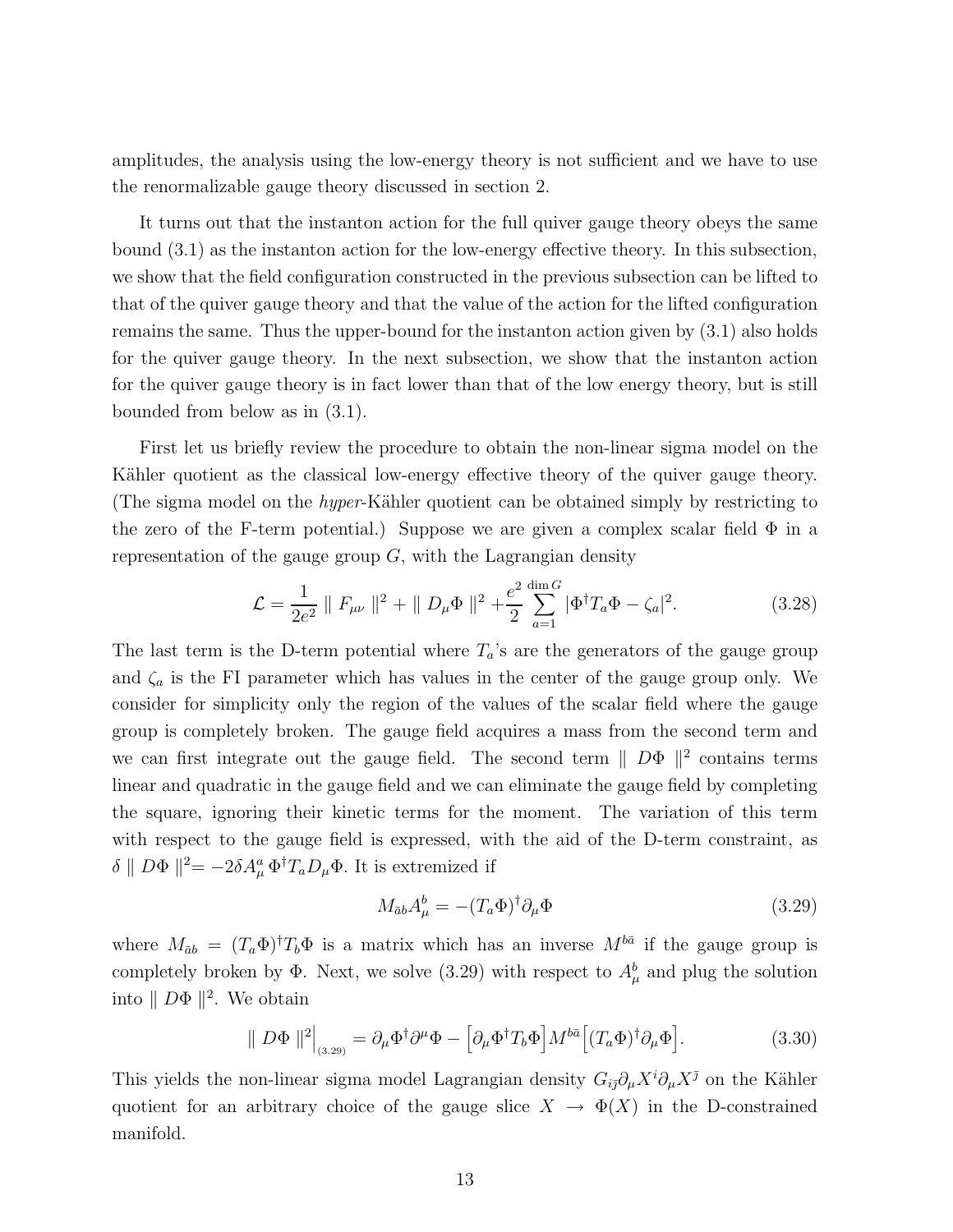amplitudes, the analysis using the low-energy theory is not sufficient and we have to use the renormalizable gauge theory discussed in section 2.

It turns out that the instanton action for the full quiver gauge theory obeys the same bound (3.1) as the instanton action for the low-energy effective theory. In this subsection, we show that the field configuration constructed in the previous subsection can be lifted to that of the quiver gauge theory and that the value of the action for the lifted configuration remains the same. Thus the upper-bound for the instanton action given by (3.1) also holds for the quiver gauge theory. In the next subsection, we show that the instanton action for the quiver gauge theory is in fact lower than that of the low energy theory, but is still bounded from below as in (3.1).

First let us briefly review the procedure to obtain the non-linear sigma model on the Kähler quotient as the classical low-energy effective theory of the quiver gauge theory. (The sigma model on the *hyper*-Kähler quotient can be obtained simply by restricting to the zero of the F-term potential.) Suppose we are given a complex scalar field  $\Phi$  in a representation of the gauge group  $G$ , with the Lagrangian density

$$
\mathcal{L} = \frac{1}{2e^2} || F_{\mu\nu} ||^2 + || D_{\mu}\Phi ||^2 + \frac{e^2}{2} \sum_{a=1}^{\dim G} |\Phi^{\dagger} T_a \Phi - \zeta_a|^2.
$$
 (3.28)

The last term is the D-term potential where  $T_a$ 's are the generators of the gauge group and  $\zeta_a$  is the FI parameter which has values in the center of the gauge group only. We consider for simplicity only the region of the values of the scalar field where the gauge group is completely broken. The gauge field acquires a mass from the second term and we can first integrate out the gauge field. The second term  $||$   $D\Phi$   $||^2$  contains terms linear and quadratic in the gauge field and we can eliminate the gauge field by completing the square, ignoring their kinetic terms for the moment. The variation of this term with respect to the gauge field is expressed, with the aid of the D-term constraint, as  $\delta \parallel D\Phi \parallel^2 = -2\delta A^a_\mu \Phi^{\dagger} T_a D_\mu \Phi$ . It is extremized if

$$
M_{\bar{a}b}A^b_\mu = -(T_a \Phi)^\dagger \partial_\mu \Phi \tag{3.29}
$$

where  $M_{\bar{a}b} = (T_a \Phi)^{\dagger} T_b \Phi$  is a matrix which has an inverse  $M^{b\bar{a}}$  if the gauge group is completely broken by  $\Phi$ . Next, we solve (3.29) with respect to  $A^b_\mu$  and plug the solution into  $||D\Phi||^2$ . We obtain

$$
\|D\Phi\|^2\Big|_{(3.29)} = \partial_\mu \Phi^\dagger \partial^\mu \Phi - \left[\partial_\mu \Phi^\dagger T_b \Phi\right] M^{b\bar{a}} \left[ (T_a \Phi)^\dagger \partial_\mu \Phi\right].\tag{3.30}
$$

This yields the non-linear sigma model Lagrangian density  $G_{i\bar{j}}\partial_\mu X^i\partial_\mu X^{\bar{j}}$  on the Kähler quotient for an arbitrary choice of the gauge slice  $X \to \Phi(X)$  in the D-constrained manifold.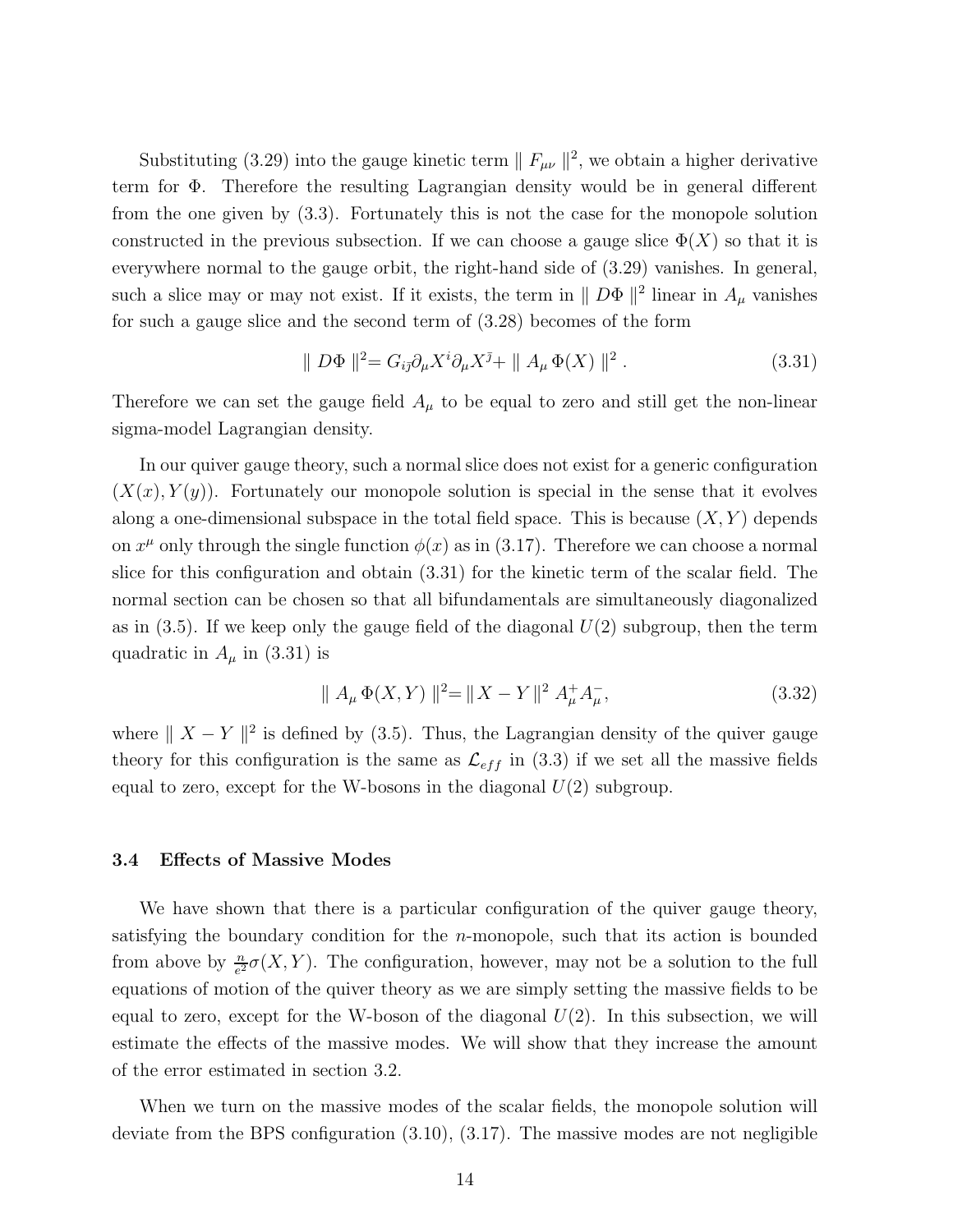Substituting (3.29) into the gauge kinetic term  $|| F_{\mu\nu} ||^2$ , we obtain a higher derivative term for Φ. Therefore the resulting Lagrangian density would be in general different from the one given by (3.3). Fortunately this is not the case for the monopole solution constructed in the previous subsection. If we can choose a gauge slice  $\Phi(X)$  so that it is everywhere normal to the gauge orbit, the right-hand side of (3.29) vanishes. In general, such a slice may or may not exist. If it exists, the term in  $\|D\Phi\|^2$  linear in  $A_\mu$  vanishes for such a gauge slice and the second term of (3.28) becomes of the form

$$
\parallel D\Phi\parallel^2 = G_{i\bar{j}}\partial_\mu X^i \partial_\mu X^{\bar{j}} + \parallel A_\mu \Phi(X)\parallel^2.
$$
 (3.31)

Therefore we can set the gauge field  $A_{\mu}$  to be equal to zero and still get the non-linear sigma-model Lagrangian density.

In our quiver gauge theory, such a normal slice does not exist for a generic configuration  $(X(x), Y(y))$ . Fortunately our monopole solution is special in the sense that it evolves along a one-dimensional subspace in the total field space. This is because  $(X, Y)$  depends on  $x^{\mu}$  only through the single function  $\phi(x)$  as in (3.17). Therefore we can choose a normal slice for this configuration and obtain (3.31) for the kinetic term of the scalar field. The normal section can be chosen so that all bifundamentals are simultaneously diagonalized as in  $(3.5)$ . If we keep only the gauge field of the diagonal  $U(2)$  subgroup, then the term quadratic in  $A_{\mu}$  in (3.31) is

$$
\| A_{\mu} \Phi(X, Y) \|^2 = \| X - Y \|^2 A_{\mu}^+ A_{\mu}^-, \tag{3.32}
$$

where  $|| X - Y ||^2$  is defined by (3.5). Thus, the Lagrangian density of the quiver gauge theory for this configuration is the same as  $\mathcal{L}_{eff}$  in (3.3) if we set all the massive fields equal to zero, except for the W-bosons in the diagonal  $U(2)$  subgroup.

#### 3.4 Effects of Massive Modes

We have shown that there is a particular configuration of the quiver gauge theory, satisfying the boundary condition for the  $n$ -monopole, such that its action is bounded from above by  $\frac{n}{e^2} \sigma(X, Y)$ . The configuration, however, may not be a solution to the full equations of motion of the quiver theory as we are simply setting the massive fields to be equal to zero, except for the W-boson of the diagonal  $U(2)$ . In this subsection, we will estimate the effects of the massive modes. We will show that they increase the amount of the error estimated in section 3.2.

When we turn on the massive modes of the scalar fields, the monopole solution will deviate from the BPS configuration (3.10), (3.17). The massive modes are not negligible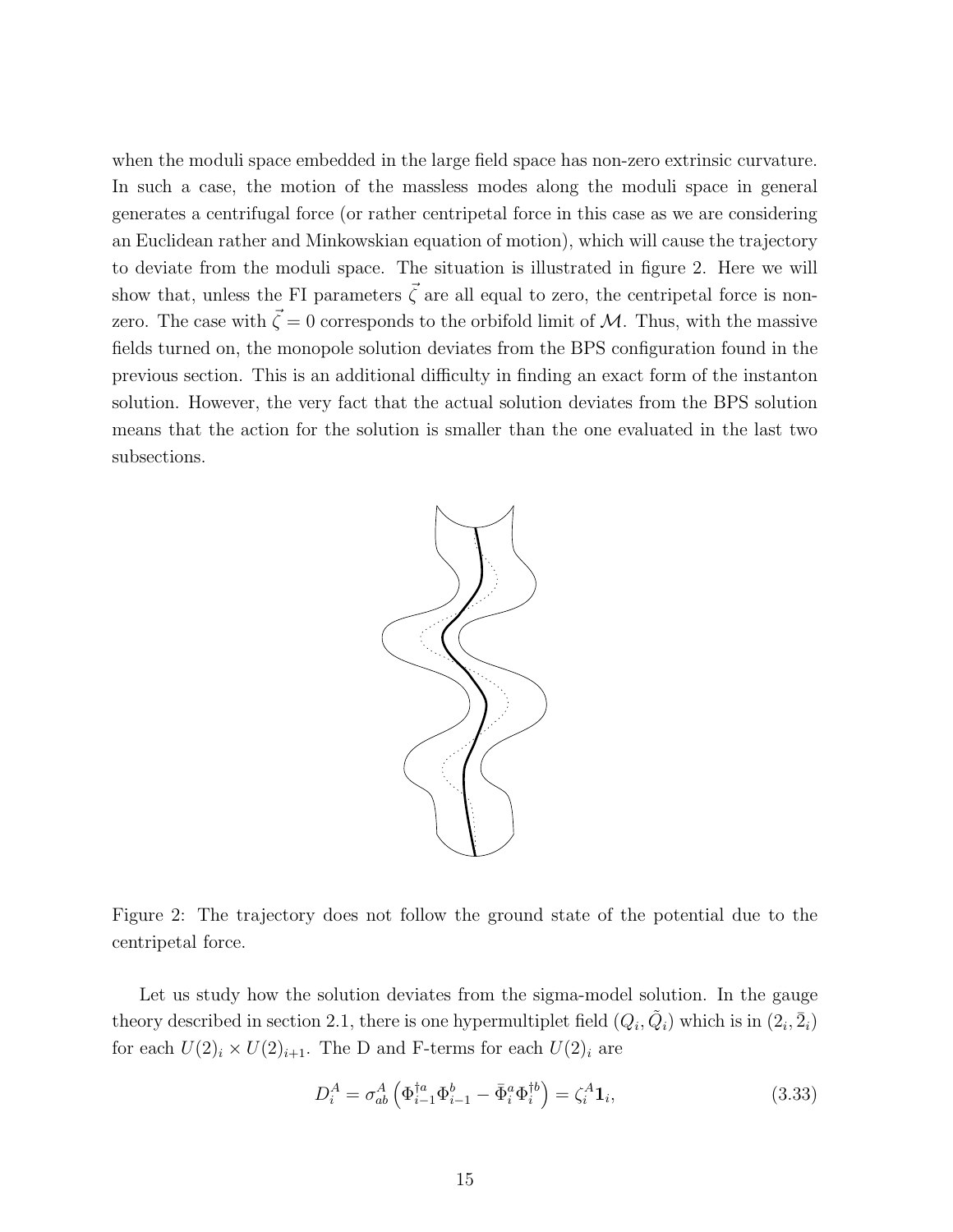when the moduli space embedded in the large field space has non-zero extrinsic curvature. In such a case, the motion of the massless modes along the moduli space in general generates a centrifugal force (or rather centripetal force in this case as we are considering an Euclidean rather and Minkowskian equation of motion), which will cause the trajectory to deviate from the moduli space. The situation is illustrated in figure 2. Here we will show that, unless the FI parameters  $\vec{\zeta}$  are all equal to zero, the centripetal force is nonzero. The case with  $\vec{\zeta} = 0$  corresponds to the orbifold limit of M. Thus, with the massive fields turned on, the monopole solution deviates from the BPS configuration found in the previous section. This is an additional difficulty in finding an exact form of the instanton solution. However, the very fact that the actual solution deviates from the BPS solution means that the action for the solution is smaller than the one evaluated in the last two subsections.



Figure 2: The trajectory does not follow the ground state of the potential due to the centripetal force.

Let us study how the solution deviates from the sigma-model solution. In the gauge theory described in section 2.1, there is one hypermultiplet field  $(Q_i, \tilde{Q}_i)$  which is in  $(2_i, \bar{2}_i)$ for each  $U(2)_i \times U(2)_{i+1}$ . The D and F-terms for each  $U(2)_i$  are

$$
D_i^A = \sigma_{ab}^A \left( \Phi_{i-1}^{\dagger a} \Phi_{i-1}^b - \bar{\Phi}_i^a \Phi_i^{\dagger b} \right) = \zeta_i^A \mathbf{1}_i,\tag{3.33}
$$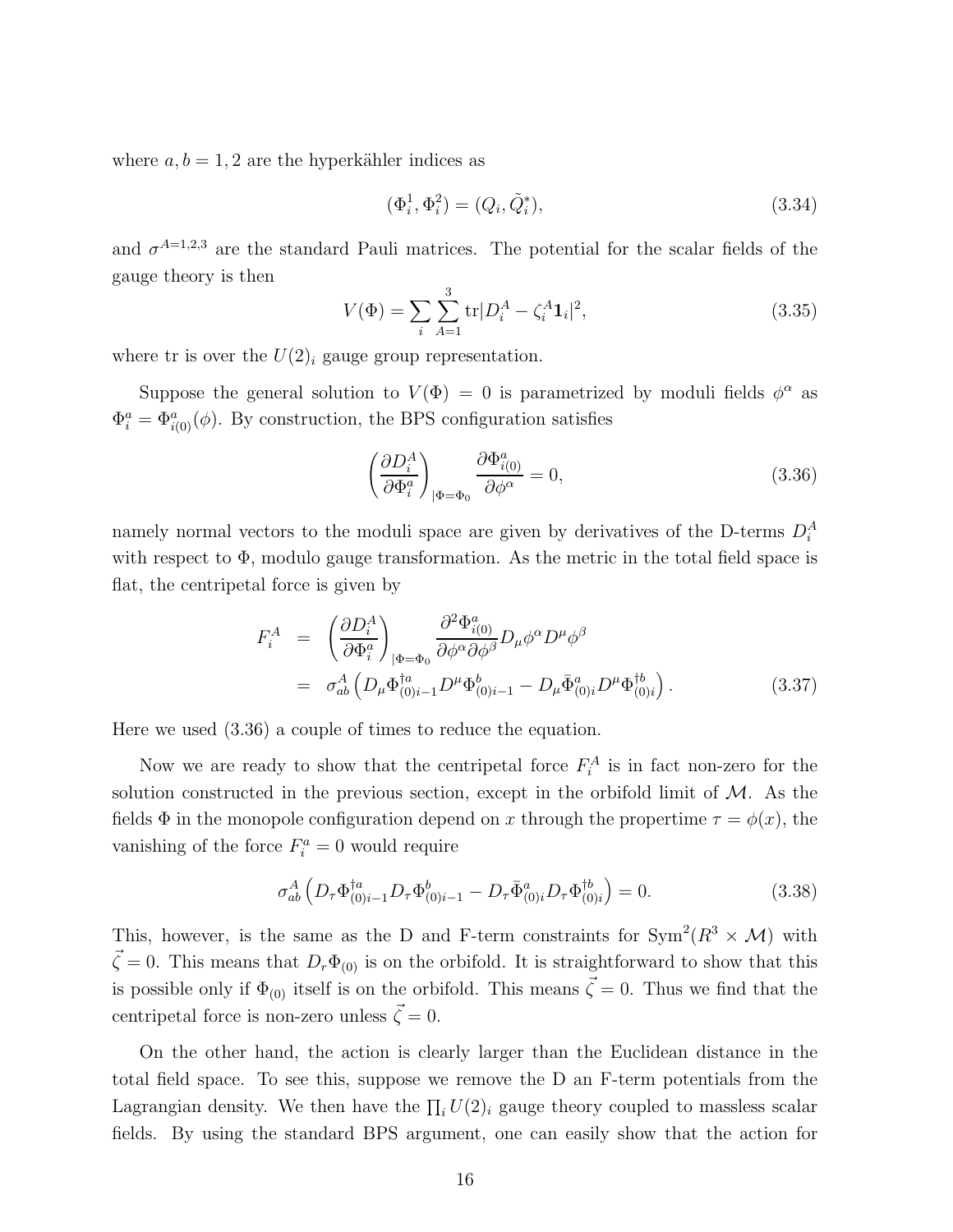where  $a, b = 1, 2$  are the hyperkähler indices as

$$
(\Phi_i^1, \Phi_i^2) = (Q_i, \tilde{Q}_i^*), \tag{3.34}
$$

and  $\sigma^{A=1,2,3}$  are the standard Pauli matrices. The potential for the scalar fields of the gauge theory is then

$$
V(\Phi) = \sum_{i} \sum_{A=1}^{3} \text{tr} |D_i^A - \zeta_i^A \mathbf{1}_i|^2,
$$
\n(3.35)

where tr is over the  $U(2)_i$  gauge group representation.

Suppose the general solution to  $V(\Phi) = 0$  is parametrized by moduli fields  $\phi^{\alpha}$  as  $\Phi_i^a = \Phi_{i(0)}^a(\phi)$ . By construction, the BPS configuration satisfies

$$
\left(\frac{\partial D_i^A}{\partial \Phi_i^a}\right)_{|\Phi = \Phi_0} \frac{\partial \Phi_{i(0)}^a}{\partial \phi^\alpha} = 0, \tag{3.36}
$$

namely normal vectors to the moduli space are given by derivatives of the D-terms  $D_i^A$ with respect to  $\Phi$ , modulo gauge transformation. As the metric in the total field space is flat, the centripetal force is given by

$$
F_i^A = \left(\frac{\partial D_i^A}{\partial \Phi_i^a}\right)_{|\Phi = \Phi_0} \frac{\partial^2 \Phi_{i(0)}^a}{\partial \phi^{\alpha} \partial \phi^{\beta}} D_{\mu} \phi^{\alpha} D^{\mu} \phi^{\beta}
$$
  
=  $\sigma_{ab}^A \left(D_{\mu} \Phi_{(0)i-1}^{\dagger a} D^{\mu} \Phi_{(0)i-1}^b - D_{\mu} \bar{\Phi}_{(0)i}^a D^{\mu} \Phi_{(0)i}^{\dagger b}\right).$  (3.37)

Here we used (3.36) a couple of times to reduce the equation.

Now we are ready to show that the centripetal force  $F_i^A$  is in fact non-zero for the solution constructed in the previous section, except in the orbifold limit of  $M$ . As the fields  $\Phi$  in the monopole configuration depend on x through the propertime  $\tau = \phi(x)$ , the vanishing of the force  $F_i^a = 0$  would require

$$
\sigma_{ab}^A \left( D_\tau \Phi_{(0)i-1}^{ \dagger a} D_\tau \Phi_{(0)i-1}^b - D_\tau \bar{\Phi}_{(0)i}^a D_\tau \Phi_{(0)i}^{ \dagger b} \right) = 0. \tag{3.38}
$$

This, however, is the same as the D and F-term constraints for  $\text{Sym}^2(R^3 \times \mathcal{M})$  with  $\vec{\zeta} = 0$ . This means that  $D_r \Phi_{(0)}$  is on the orbifold. It is straightforward to show that this is possible only if  $\Phi_{(0)}$  itself is on the orbifold. This means  $\vec{\zeta} = 0$ . Thus we find that the centripetal force is non-zero unless  $\vec{\zeta} = 0.$ 

On the other hand, the action is clearly larger than the Euclidean distance in the total field space. To see this, suppose we remove the D an F-term potentials from the Lagrangian density. We then have the  $\prod_i U(2)_i$  gauge theory coupled to massless scalar fields. By using the standard BPS argument, one can easily show that the action for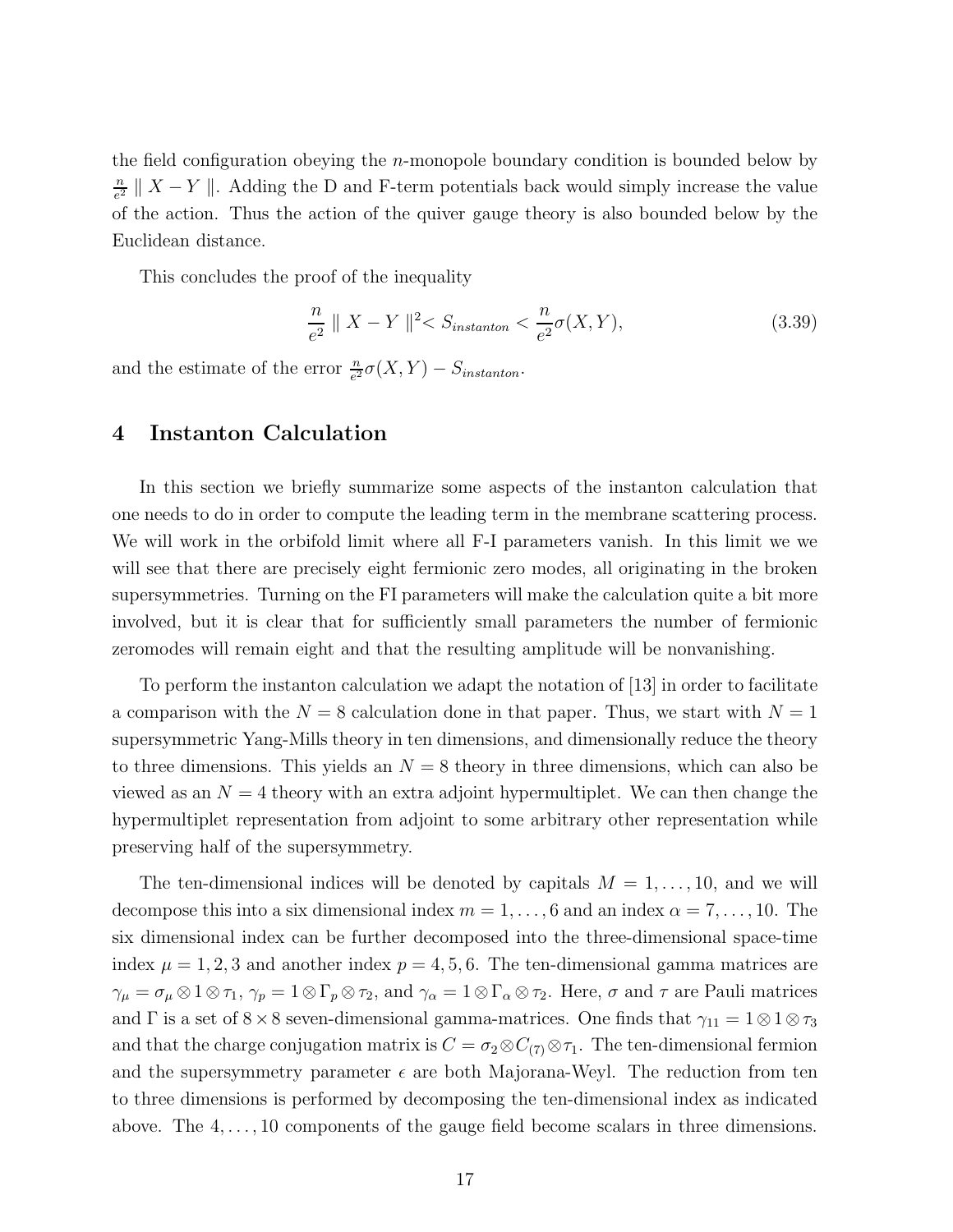the field configuration obeying the  $n$ -monopole boundary condition is bounded below by n  $\frac{n}{e^2}$  ||  $X - Y$  ||. Adding the D and F-term potentials back would simply increase the value of the action. Thus the action of the quiver gauge theory is also bounded below by the Euclidean distance.

This concludes the proof of the inequality

$$
\frac{n}{e^2} \parallel X - Y \parallel^2 < S_{instanton} < \frac{n}{e^2} \sigma(X, Y), \tag{3.39}
$$

and the estimate of the error  $\frac{n}{e^2}\sigma(X,Y) - S_{instanton}$ .

## 4 Instanton Calculation

In this section we briefly summarize some aspects of the instanton calculation that one needs to do in order to compute the leading term in the membrane scattering process. We will work in the orbifold limit where all F-I parameters vanish. In this limit we we will see that there are precisely eight fermionic zero modes, all originating in the broken supersymmetries. Turning on the FI parameters will make the calculation quite a bit more involved, but it is clear that for sufficiently small parameters the number of fermionic zeromodes will remain eight and that the resulting amplitude will be nonvanishing.

To perform the instanton calculation we adapt the notation of [13] in order to facilitate a comparison with the  $N = 8$  calculation done in that paper. Thus, we start with  $N = 1$ supersymmetric Yang-Mills theory in ten dimensions, and dimensionally reduce the theory to three dimensions. This yields an  $N = 8$  theory in three dimensions, which can also be viewed as an  $N = 4$  theory with an extra adjoint hypermultiplet. We can then change the hypermultiplet representation from adjoint to some arbitrary other representation while preserving half of the supersymmetry.

The ten-dimensional indices will be denoted by capitals  $M = 1, \ldots, 10$ , and we will decompose this into a six dimensional index  $m = 1, \ldots, 6$  and an index  $\alpha = 7, \ldots, 10$ . The six dimensional index can be further decomposed into the three-dimensional space-time index  $\mu = 1, 2, 3$  and another index  $p = 4, 5, 6$ . The ten-dimensional gamma matrices are  $\gamma_{\mu} = \sigma_{\mu} \otimes 1 \otimes \tau_1$ ,  $\gamma_p = 1 \otimes \Gamma_p \otimes \tau_2$ , and  $\gamma_{\alpha} = 1 \otimes \Gamma_{\alpha} \otimes \tau_2$ . Here,  $\sigma$  and  $\tau$  are Pauli matrices and  $\Gamma$  is a set of 8 × 8 seven-dimensional gamma-matrices. One finds that  $\gamma_{11} = 1 \otimes 1 \otimes \tau_3$ and that the charge conjugation matrix is  $C = \sigma_2 \otimes C_{(7)} \otimes \tau_1$ . The ten-dimensional fermion and the supersymmetry parameter  $\epsilon$  are both Majorana-Weyl. The reduction from ten to three dimensions is performed by decomposing the ten-dimensional index as indicated above. The  $4, \ldots, 10$  components of the gauge field become scalars in three dimensions.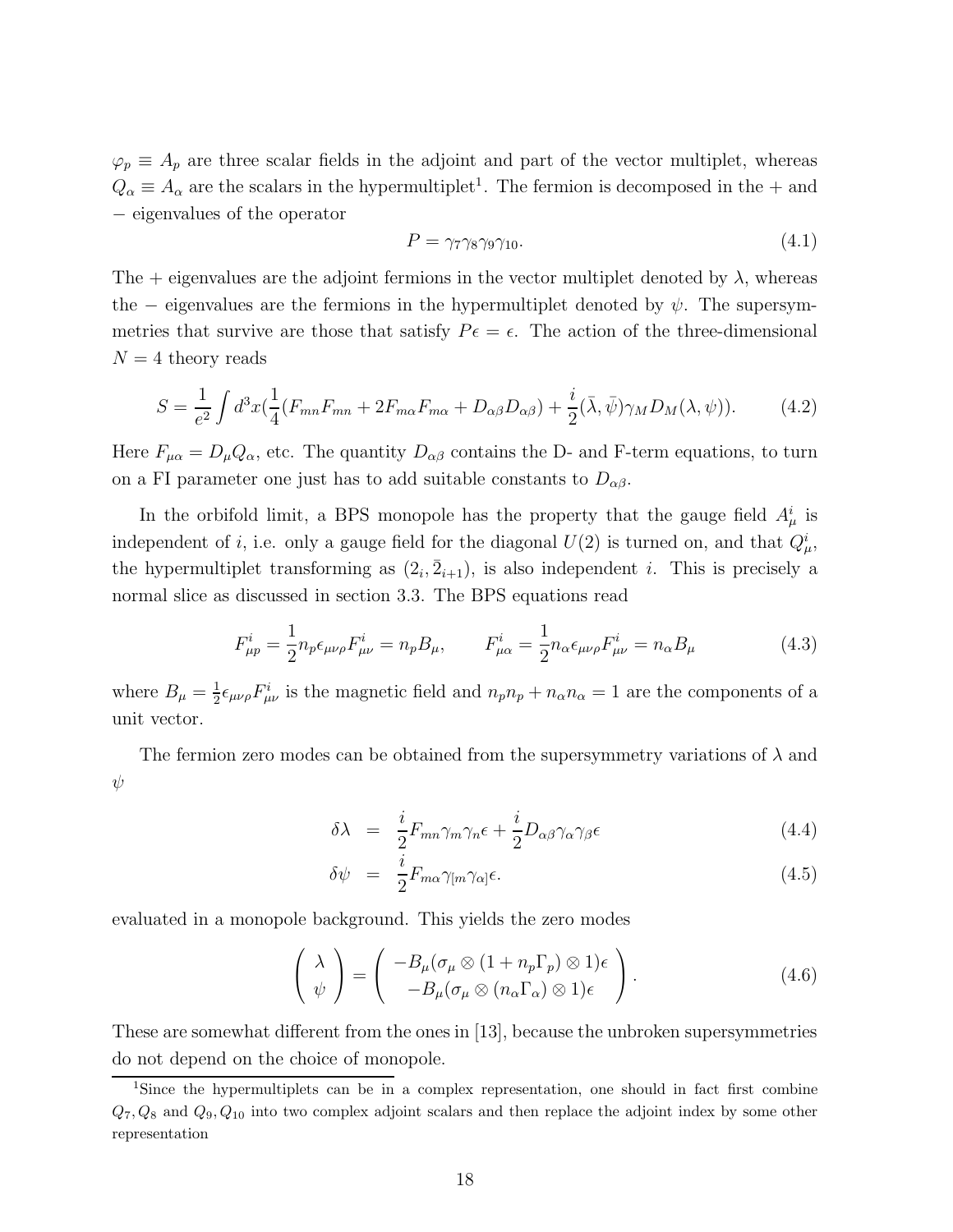$\varphi_p \equiv A_p$  are three scalar fields in the adjoint and part of the vector multiplet, whereas  $Q_{\alpha} \equiv A_{\alpha}$  are the scalars in the hypermultiplet<sup>1</sup>. The fermion is decomposed in the + and − eigenvalues of the operator

$$
P = \gamma_7 \gamma_8 \gamma_9 \gamma_{10}.\tag{4.1}
$$

The  $+$  eigenvalues are the adjoint fermions in the vector multiplet denoted by  $\lambda$ , whereas the – eigenvalues are the fermions in the hypermultiplet denoted by  $\psi$ . The supersymmetries that survive are those that satisfy  $P\epsilon = \epsilon$ . The action of the three-dimensional  $N = 4$  theory reads

$$
S = \frac{1}{e^2} \int d^3x \left(\frac{1}{4}(F_{mn}F_{mn} + 2F_{m\alpha}F_{m\alpha} + D_{\alpha\beta}D_{\alpha\beta}) + \frac{i}{2}(\bar{\lambda}, \bar{\psi})\gamma_M D_M(\lambda, \psi)\right).
$$
 (4.2)

Here  $F_{\mu\alpha} = D_{\mu} Q_{\alpha}$ , etc. The quantity  $D_{\alpha\beta}$  contains the D- and F-term equations, to turn on a FI parameter one just has to add suitable constants to  $D_{\alpha\beta}$ .

In the orbifold limit, a BPS monopole has the property that the gauge field  $A^i_\mu$  is independent of *i*, i.e. only a gauge field for the diagonal  $U(2)$  is turned on, and that  $Q^i_{\mu}$ , the hypermultiplet transforming as  $(2_i, \bar{2}_{i+1})$ , is also independent *i*. This is precisely a normal slice as discussed in section 3.3. The BPS equations read

$$
F_{\mu p}^{i} = \frac{1}{2} n_{p} \epsilon_{\mu \nu \rho} F_{\mu \nu}^{i} = n_{p} B_{\mu}, \qquad F_{\mu \alpha}^{i} = \frac{1}{2} n_{\alpha} \epsilon_{\mu \nu \rho} F_{\mu \nu}^{i} = n_{\alpha} B_{\mu}
$$
(4.3)

where  $B_{\mu} = \frac{1}{2}$  $\frac{1}{2} \epsilon_{\mu\nu\rho} F^i_{\mu\nu}$  is the magnetic field and  $n_p n_p + n_\alpha n_\alpha = 1$  are the components of a unit vector.

The fermion zero modes can be obtained from the supersymmetry variations of  $\lambda$  and  $\psi$ 

$$
\delta\lambda = \frac{i}{2} F_{mn} \gamma_m \gamma_n \epsilon + \frac{i}{2} D_{\alpha\beta} \gamma_\alpha \gamma_\beta \epsilon \tag{4.4}
$$

$$
\delta\psi = \frac{i}{2} F_{m\alpha} \gamma_{[m} \gamma_{\alpha]} \epsilon. \tag{4.5}
$$

evaluated in a monopole background. This yields the zero modes

$$
\begin{pmatrix}\n\lambda \\
\psi\n\end{pmatrix} = \begin{pmatrix}\n-B_{\mu}(\sigma_{\mu} \otimes (1 + n_{p}\Gamma_{p}) \otimes 1)\epsilon \\
-B_{\mu}(\sigma_{\mu} \otimes (n_{\alpha}\Gamma_{\alpha}) \otimes 1)\epsilon\n\end{pmatrix}.
$$
\n(4.6)

These are somewhat different from the ones in [13], because the unbroken supersymmetries do not depend on the choice of monopole.

<sup>&</sup>lt;sup>1</sup>Since the hypermultiplets can be in a complex representation, one should in fact first combine  $Q_7, Q_8$  and  $Q_9, Q_{10}$  into two complex adjoint scalars and then replace the adjoint index by some other representation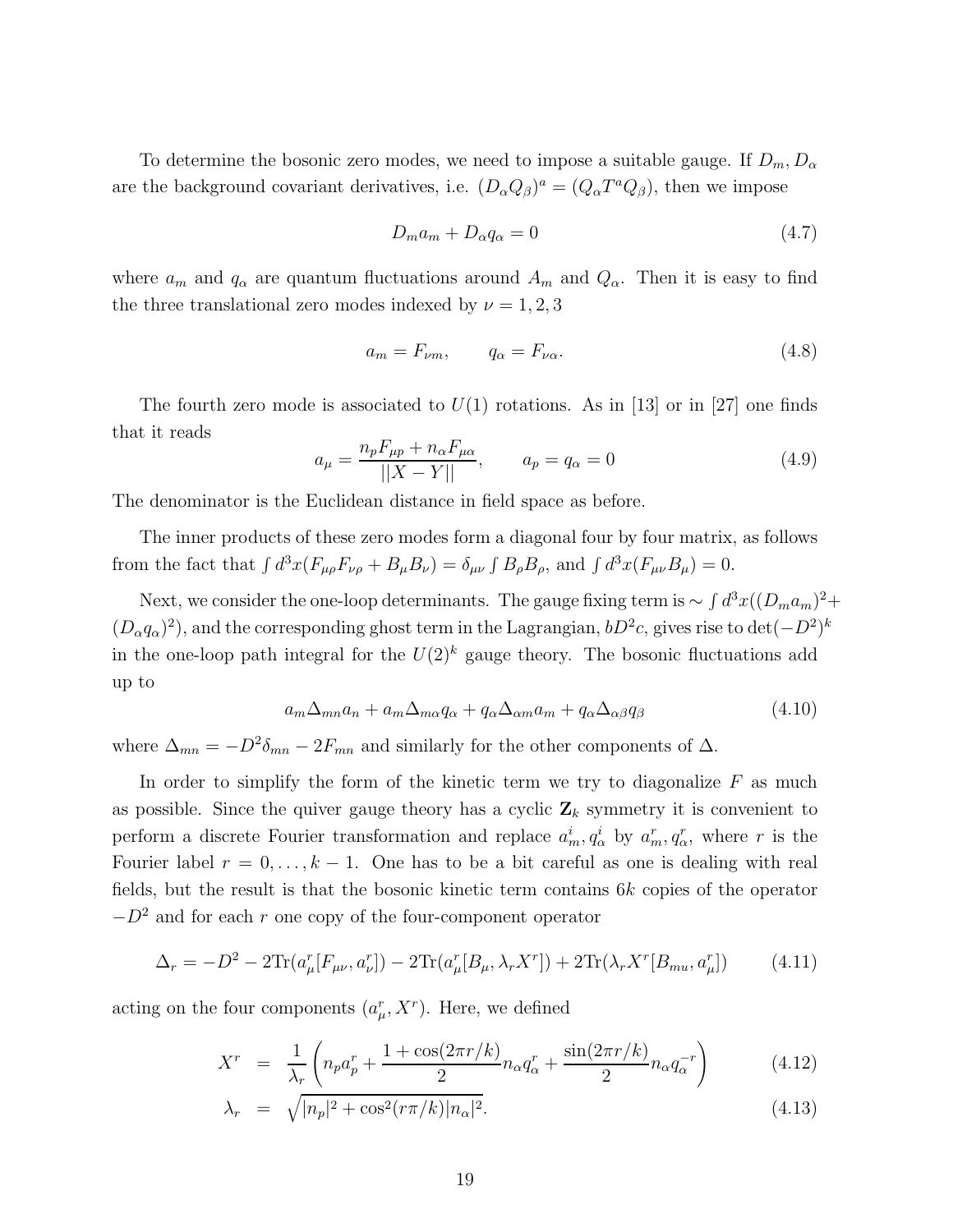To determine the bosonic zero modes, we need to impose a suitable gauge. If  $D_m, D_\alpha$ are the background covariant derivatives, i.e.  $(D_{\alpha}Q_{\beta})^a = (Q_{\alpha}T^aQ_{\beta})$ , then we impose

$$
D_m a_m + D_\alpha q_\alpha = 0 \tag{4.7}
$$

where  $a_m$  and  $q_\alpha$  are quantum fluctuations around  $A_m$  and  $Q_\alpha$ . Then it is easy to find the three translational zero modes indexed by  $\nu = 1, 2, 3$ 

$$
a_m = F_{\nu m}, \qquad q_\alpha = F_{\nu \alpha}.\tag{4.8}
$$

The fourth zero mode is associated to  $U(1)$  rotations. As in [13] or in [27] one finds that it reads

$$
a_{\mu} = \frac{n_p F_{\mu p} + n_{\alpha} F_{\mu \alpha}}{||X - Y||}, \qquad a_p = q_{\alpha} = 0
$$
 (4.9)

The denominator is the Euclidean distance in field space as before.

The inner products of these zero modes form a diagonal four by four matrix, as follows from the fact that  $\int d^3x (F_{\mu\rho}F_{\nu\rho} + B_{\mu}B_{\nu}) = \delta_{\mu\nu}\int B_{\rho}B_{\rho}$ , and  $\int d^3x (F_{\mu\nu}B_{\mu}) = 0$ .

Next, we consider the one-loop determinants. The gauge fixing term is  $\sim \int d^3x ((D_m a_m)^2 +$  $(D_\alpha q_\alpha)^2$ , and the corresponding ghost term in the Lagrangian,  $bD^2c$ , gives rise to  $\det(-D^2)^k$ in the one-loop path integral for the  $U(2)^k$  gauge theory. The bosonic fluctuations add up to

$$
a_m \Delta_{mn} a_n + a_m \Delta_{m\alpha} q_\alpha + q_\alpha \Delta_{\alpha m} a_m + q_\alpha \Delta_{\alpha \beta} q_\beta \tag{4.10}
$$

where  $\Delta_{mn} = -D^2 \delta_{mn} - 2F_{mn}$  and similarly for the other components of  $\Delta$ .

In order to simplify the form of the kinetic term we try to diagonalize  $F$  as much as possible. Since the quiver gauge theory has a cyclic  $\mathbf{Z}_k$  symmetry it is convenient to perform a discrete Fourier transformation and replace  $a_m^i, q_\alpha^i$  by  $a_m^r, q_\alpha^r$ , where r is the Fourier label  $r = 0, \ldots, k - 1$ . One has to be a bit careful as one is dealing with real fields, but the result is that the bosonic kinetic term contains 6k copies of the operator  $-D^2$  and for each r one copy of the four-component operator

$$
\Delta_r = -D^2 - 2\text{Tr}(a^r_\mu[F_{\mu\nu}, a^r_\nu]) - 2\text{Tr}(a^r_\mu[B_\mu, \lambda_r X^r]) + 2\text{Tr}(\lambda_r X^r[B_{mu}, a^r_\mu]) \tag{4.11}
$$

acting on the four components  $(a_{\mu}^{r}, X^{r})$ . Here, we defined

$$
X^{r} = \frac{1}{\lambda_{r}} \left( n_{p} a_{p}^{r} + \frac{1 + \cos(2\pi r/k)}{2} n_{\alpha} q_{\alpha}^{r} + \frac{\sin(2\pi r/k)}{2} n_{\alpha} q_{\alpha}^{-r} \right)
$$
(4.12)

$$
\lambda_r = \sqrt{|n_p|^2 + \cos^2(r\pi/k)|n_\alpha|^2}.
$$
\n(4.13)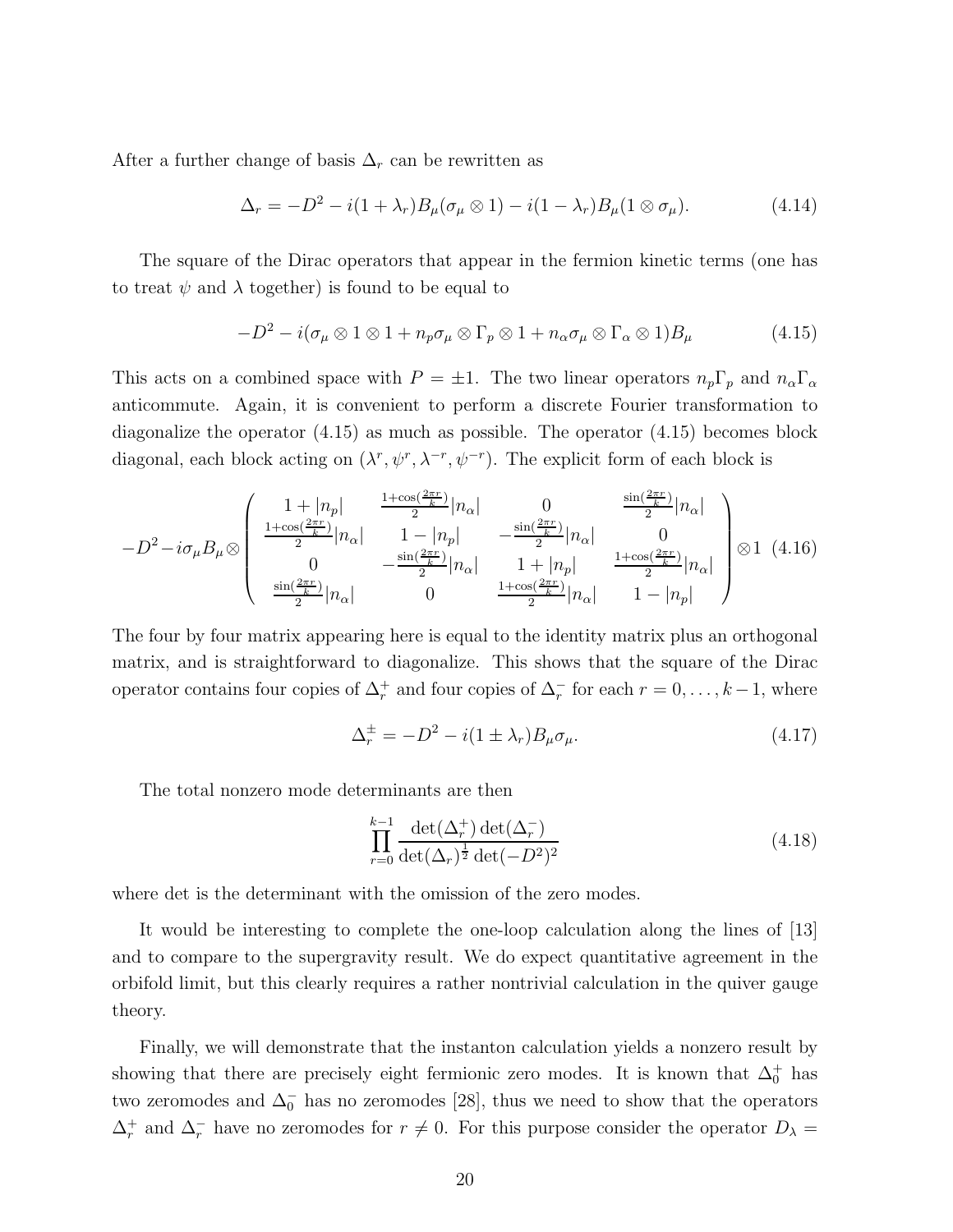After a further change of basis  $\Delta_r$  can be rewritten as

$$
\Delta_r = -D^2 - i(1 + \lambda_r)B_\mu(\sigma_\mu \otimes 1) - i(1 - \lambda_r)B_\mu(1 \otimes \sigma_\mu). \tag{4.14}
$$

The square of the Dirac operators that appear in the fermion kinetic terms (one has to treat  $\psi$  and  $\lambda$  together) is found to be equal to

$$
-D^2 - i(\sigma_\mu \otimes 1 \otimes 1 + n_p \sigma_\mu \otimes \Gamma_p \otimes 1 + n_\alpha \sigma_\mu \otimes \Gamma_\alpha \otimes 1)B_\mu \tag{4.15}
$$

This acts on a combined space with  $P = \pm 1$ . The two linear operators  $n_p \Gamma_p$  and  $n_\alpha \Gamma_\alpha$ anticommute. Again, it is convenient to perform a discrete Fourier transformation to diagonalize the operator (4.15) as much as possible. The operator (4.15) becomes block diagonal, each block acting on  $(\lambda^r, \psi^r, \lambda^{-r}, \psi^{-r})$ . The explicit form of each block is

$$
-D^{2} - i\sigma_{\mu}B_{\mu}\otimes\begin{pmatrix} 1+|n_{p}| & \frac{1+\cos(\frac{2\pi r}{k})}{2}|n_{\alpha}| & 0 & \frac{\sin(\frac{2\pi r}{k})}{2}|n_{\alpha}| \\ \frac{1+\cos(\frac{2\pi r}{k})}{2}|n_{\alpha}| & 1-|n_{p}| & -\frac{\sin(\frac{2\pi r}{k})}{2}|n_{\alpha}| & 0 \\ 0 & -\frac{\sin(\frac{2\pi r}{k})}{2}|n_{\alpha}| & 1+|n_{p}| & \frac{1+\cos(\frac{2\pi r}{k})}{2}|n_{\alpha}| \\ \frac{\sin(\frac{2\pi r}{k})}{2}|n_{\alpha}| & 0 & \frac{1+\cos(\frac{2\pi r}{k})}{2}|n_{\alpha}| & 1-|n_{p}| \end{pmatrix}\otimes 1 \quad (4.16)
$$

The four by four matrix appearing here is equal to the identity matrix plus an orthogonal matrix, and is straightforward to diagonalize. This shows that the square of the Dirac operator contains four copies of  $\Delta_r^+$  and four copies of  $\Delta_r^-$  for each  $r = 0, \ldots, k-1$ , where

$$
\Delta_r^{\pm} = -D^2 - i(1 \pm \lambda_r)B_\mu \sigma_\mu. \tag{4.17}
$$

The total nonzero mode determinants are then

$$
\prod_{r=0}^{k-1} \frac{\det(\Delta_r^+)\det(\Delta_r^-)}{\det(\Delta_r)^{\frac{1}{2}}\det(-D^2)^2}
$$
\n(4.18)

where det is the determinant with the omission of the zero modes.

It would be interesting to complete the one-loop calculation along the lines of [13] and to compare to the supergravity result. We do expect quantitative agreement in the orbifold limit, but this clearly requires a rather nontrivial calculation in the quiver gauge theory.

Finally, we will demonstrate that the instanton calculation yields a nonzero result by showing that there are precisely eight fermionic zero modes. It is known that  $\Delta_0^+$  has two zeromodes and  $\Delta_0^-$  has no zeromodes [28], thus we need to show that the operators  $\Delta_r^+$  and  $\Delta_r^-$  have no zeromodes for  $r \neq 0$ . For this purpose consider the operator  $D_\lambda =$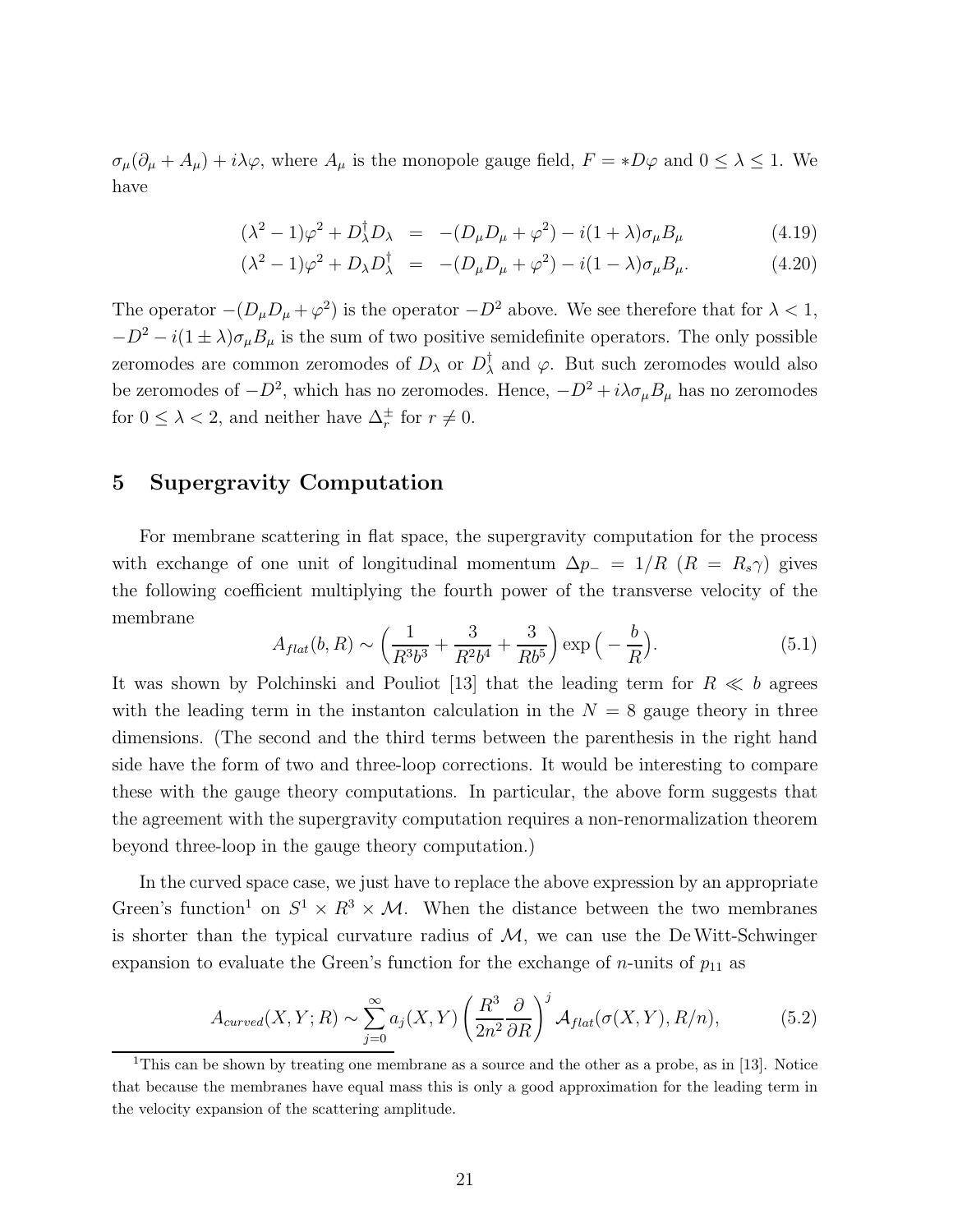$\sigma_{\mu}(\partial_{\mu} + A_{\mu}) + i\lambda\varphi$ , where  $A_{\mu}$  is the monopole gauge field,  $F = *D\varphi$  and  $0 \leq \lambda \leq 1$ . We have

$$
(\lambda^2 - 1)\varphi^2 + D_{\lambda}^{\dagger}D_{\lambda} = -(D_{\mu}D_{\mu} + \varphi^2) - i(1 + \lambda)\sigma_{\mu}B_{\mu}
$$
\n(4.19)

$$
(\lambda^2 - 1)\varphi^2 + D_{\lambda}D_{\lambda}^{\dagger} = -(D_{\mu}D_{\mu} + \varphi^2) - i(1 - \lambda)\sigma_{\mu}B_{\mu}.
$$
 (4.20)

The operator  $-(D_{\mu}D_{\mu} + \varphi^2)$  is the operator  $-D^2$  above. We see therefore that for  $\lambda < 1$ ,  $-D^2 - i(1 \pm \lambda)\sigma_{\mu}B_{\mu}$  is the sum of two positive semidefinite operators. The only possible zeromodes are common zeromodes of  $D_\lambda$  or  $D_\lambda^\dagger$  $\lambda$  and  $\varphi$ . But such zeromodes would also be zeromodes of  $-D^2$ , which has no zeromodes. Hence,  $-D^2 + i\lambda\sigma_\mu B_\mu$  has no zeromodes for  $0 \leq \lambda < 2$ , and neither have  $\Delta_r^{\pm}$  for  $r \neq 0$ .

### 5 Supergravity Computation

For membrane scattering in flat space, the supergravity computation for the process with exchange of one unit of longitudinal momentum  $\Delta p_-\,\,=\,\,1/R$   $(R_-\,\,R_s\gamma)$  gives the following coefficient multiplying the fourth power of the transverse velocity of the membrane

$$
A_{flat}(b,R) \sim \left(\frac{1}{R^3 b^3} + \frac{3}{R^2 b^4} + \frac{3}{R b^5}\right) \exp\left(-\frac{b}{R}\right).
$$
 (5.1)

It was shown by Polchinski and Pouliot [13] that the leading term for  $R \ll b$  agrees with the leading term in the instanton calculation in the  $N = 8$  gauge theory in three dimensions. (The second and the third terms between the parenthesis in the right hand side have the form of two and three-loop corrections. It would be interesting to compare these with the gauge theory computations. In particular, the above form suggests that the agreement with the supergravity computation requires a non-renormalization theorem beyond three-loop in the gauge theory computation.)

In the curved space case, we just have to replace the above expression by an appropriate Green's function<sup>1</sup> on  $S^1 \times R^3 \times M$ . When the distance between the two membranes is shorter than the typical curvature radius of  $M$ , we can use the DeWitt-Schwinger expansion to evaluate the Green's function for the exchange of  $n$ -units of  $p_{11}$  as

$$
A_{curved}(X, Y; R) \sim \sum_{j=0}^{\infty} a_j(X, Y) \left(\frac{R^3}{2n^2} \frac{\partial}{\partial R}\right)^j \mathcal{A}_{flat}(\sigma(X, Y), R/n), \tag{5.2}
$$

<sup>&</sup>lt;sup>1</sup>This can be shown by treating one membrane as a source and the other as a probe, as in [13]. Notice that because the membranes have equal mass this is only a good approximation for the leading term in the velocity expansion of the scattering amplitude.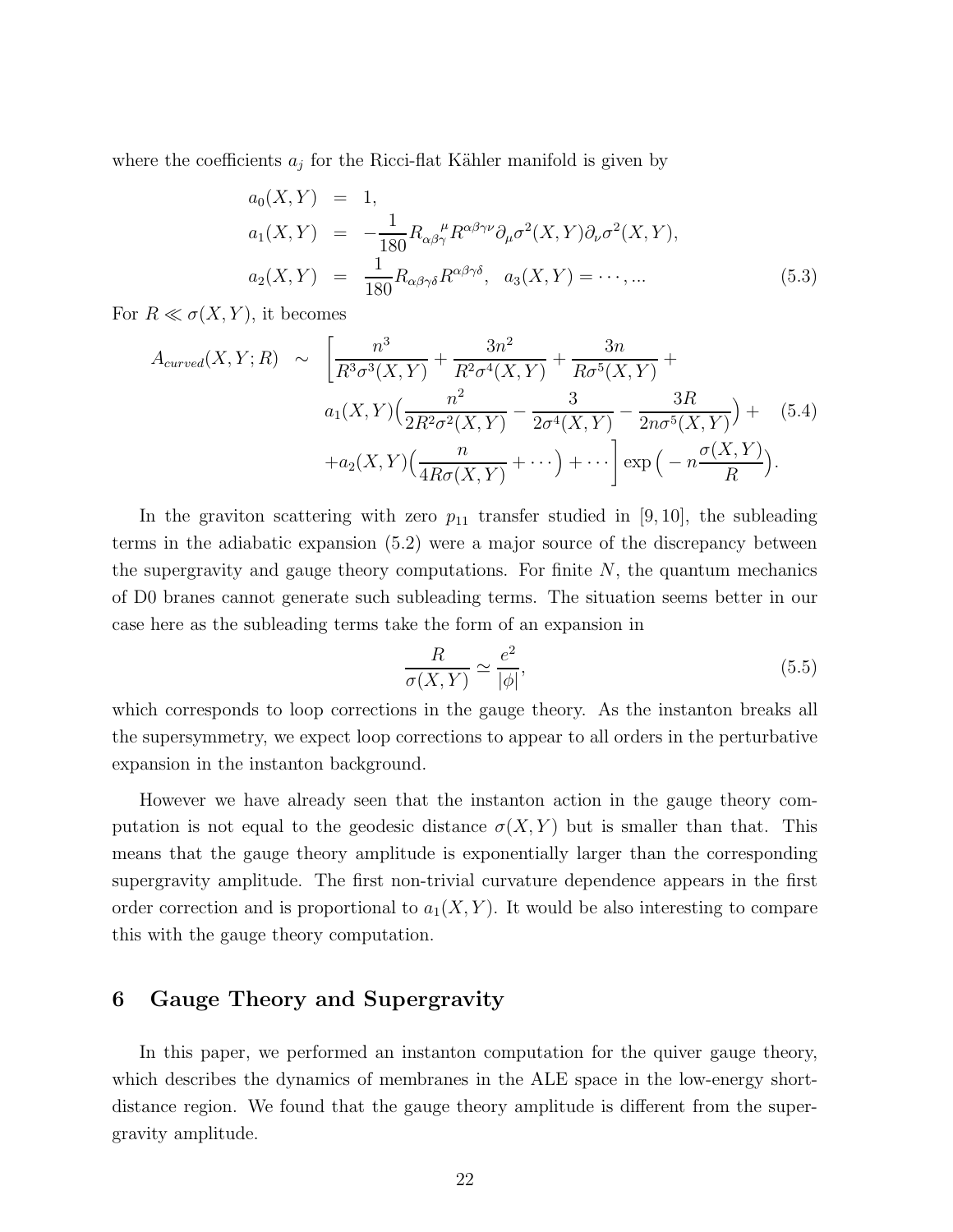where the coefficients  $a_j$  for the Ricci-flat Kähler manifold is given by

$$
a_0(X,Y) = 1,
$$
  
\n
$$
a_1(X,Y) = -\frac{1}{180} R_{\alpha\beta\gamma}^{\mu} R^{\alpha\beta\gamma\nu} \partial_{\mu} \sigma^2(X,Y) \partial_{\nu} \sigma^2(X,Y),
$$
  
\n
$$
a_2(X,Y) = \frac{1}{180} R_{\alpha\beta\gamma\delta} R^{\alpha\beta\gamma\delta}, \quad a_3(X,Y) = \cdots, \dots
$$
\n(5.3)

For  $R \ll \sigma(X, Y)$ , it becomes

$$
A_{curved}(X, Y; R) \sim \left[ \frac{n^3}{R^3 \sigma^3(X, Y)} + \frac{3n^2}{R^2 \sigma^4(X, Y)} + \frac{3n}{R \sigma^5(X, Y)} + \frac{n^2}{R \sigma^5(X, Y)} \right] + a_1(X, Y) \left( \frac{n^2}{2R^2 \sigma^2(X, Y)} - \frac{3}{2\sigma^4(X, Y)} - \frac{3R}{2n\sigma^5(X, Y)} \right) + a_2(X, Y) \left( \frac{n}{4R\sigma(X, Y)} + \cdots \right) + \cdots \right] \exp\left( -n \frac{\sigma(X, Y)}{R} \right).
$$
 (5.4)

In the graviton scattering with zero  $p_{11}$  transfer studied in [9, 10], the subleading terms in the adiabatic expansion (5.2) were a major source of the discrepancy between the supergravity and gauge theory computations. For finite  $N$ , the quantum mechanics of D0 branes cannot generate such subleading terms. The situation seems better in our case here as the subleading terms take the form of an expansion in

$$
\frac{R}{\sigma(X,Y)} \simeq \frac{e^2}{|\phi|},\tag{5.5}
$$

which corresponds to loop corrections in the gauge theory. As the instanton breaks all the supersymmetry, we expect loop corrections to appear to all orders in the perturbative expansion in the instanton background.

However we have already seen that the instanton action in the gauge theory computation is not equal to the geodesic distance  $\sigma(X, Y)$  but is smaller than that. This means that the gauge theory amplitude is exponentially larger than the corresponding supergravity amplitude. The first non-trivial curvature dependence appears in the first order correction and is proportional to  $a_1(X, Y)$ . It would be also interesting to compare this with the gauge theory computation.

## 6 Gauge Theory and Supergravity

In this paper, we performed an instanton computation for the quiver gauge theory, which describes the dynamics of membranes in the ALE space in the low-energy shortdistance region. We found that the gauge theory amplitude is different from the supergravity amplitude.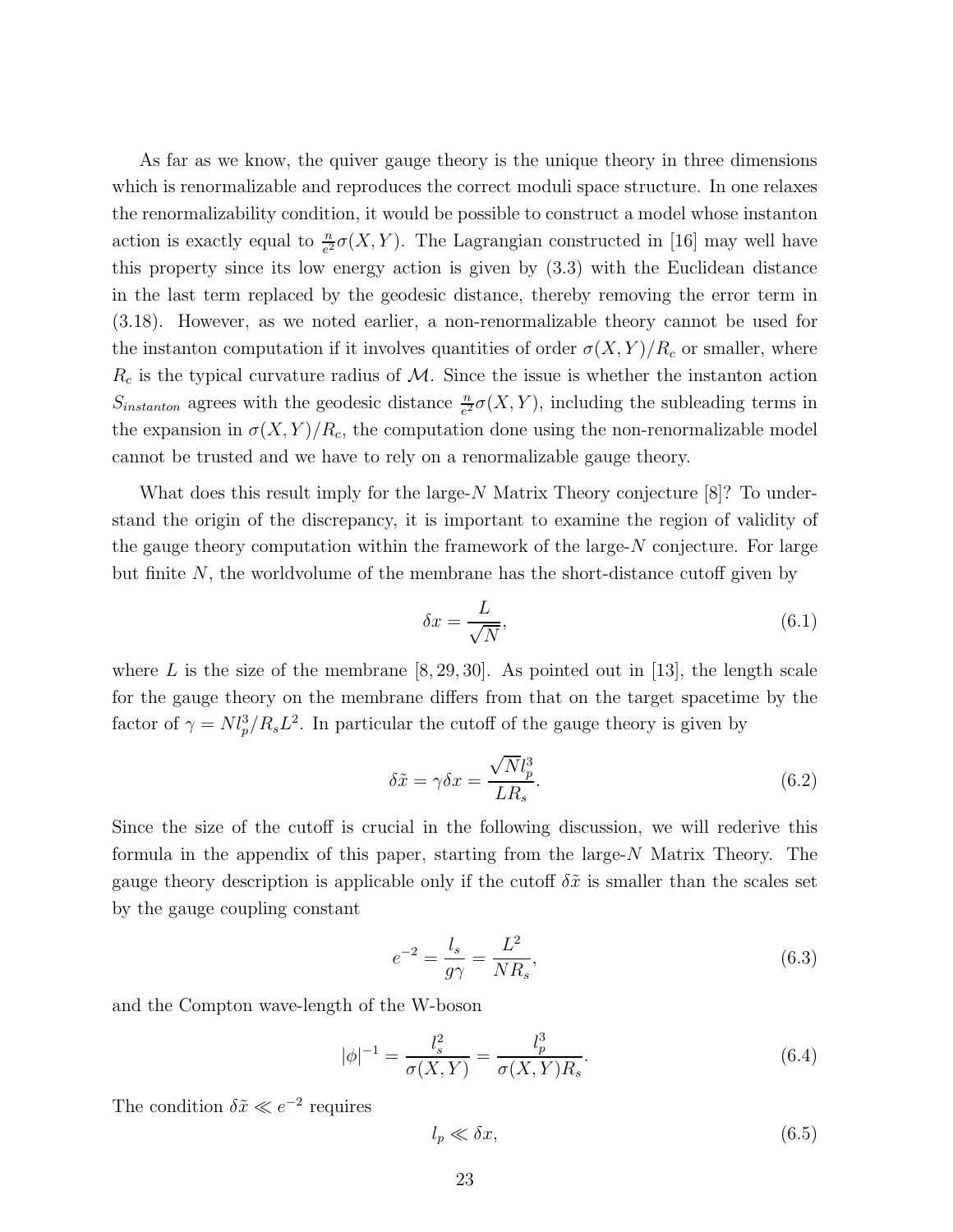As far as we know, the quiver gauge theory is the unique theory in three dimensions which is renormalizable and reproduces the correct moduli space structure. In one relaxes the renormalizability condition, it would be possible to construct a model whose instanton action is exactly equal to  $\frac{n}{e^2} \sigma(X, Y)$ . The Lagrangian constructed in [16] may well have this property since its low energy action is given by (3.3) with the Euclidean distance in the last term replaced by the geodesic distance, thereby removing the error term in (3.18). However, as we noted earlier, a non-renormalizable theory cannot be used for the instanton computation if it involves quantities of order  $\sigma(X, Y)/R_c$  or smaller, where  $R_c$  is the typical curvature radius of M. Since the issue is whether the instanton action  $S_{instanton}$  agrees with the geodesic distance  $\frac{n}{e^2} \sigma(X, Y)$ , including the subleading terms in the expansion in  $\sigma(X, Y)/R_c$ , the computation done using the non-renormalizable model cannot be trusted and we have to rely on a renormalizable gauge theory.

What does this result imply for the large-N Matrix Theory conjecture [8]? To understand the origin of the discrepancy, it is important to examine the region of validity of the gauge theory computation within the framework of the large- $N$  conjecture. For large but finite  $N$ , the worldvolume of the membrane has the short-distance cutoff given by

$$
\delta x = \frac{L}{\sqrt{N}},\tag{6.1}
$$

where L is the size of the membrane  $[8, 29, 30]$ . As pointed out in [13], the length scale for the gauge theory on the membrane differs from that on the target spacetime by the factor of  $\gamma = N l_p^3 / R_s L^2$ . In particular the cutoff of the gauge theory is given by

$$
\delta \tilde{x} = \gamma \delta x = \frac{\sqrt{N} l_p^3}{L R_s}.\tag{6.2}
$$

Since the size of the cutoff is crucial in the following discussion, we will rederive this formula in the appendix of this paper, starting from the large-N Matrix Theory. The gauge theory description is applicable only if the cutoff  $\delta \tilde{x}$  is smaller than the scales set by the gauge coupling constant

$$
e^{-2} = \frac{l_s}{g\gamma} = \frac{L^2}{NR_s},\tag{6.3}
$$

and the Compton wave-length of the W-boson

$$
|\phi|^{-1} = \frac{l_s^2}{\sigma(X, Y)} = \frac{l_p^3}{\sigma(X, Y)R_s}.
$$
\n(6.4)

The condition  $\delta \tilde{x} \ll e^{-2}$  requires

$$
l_p \ll \delta x,\tag{6.5}
$$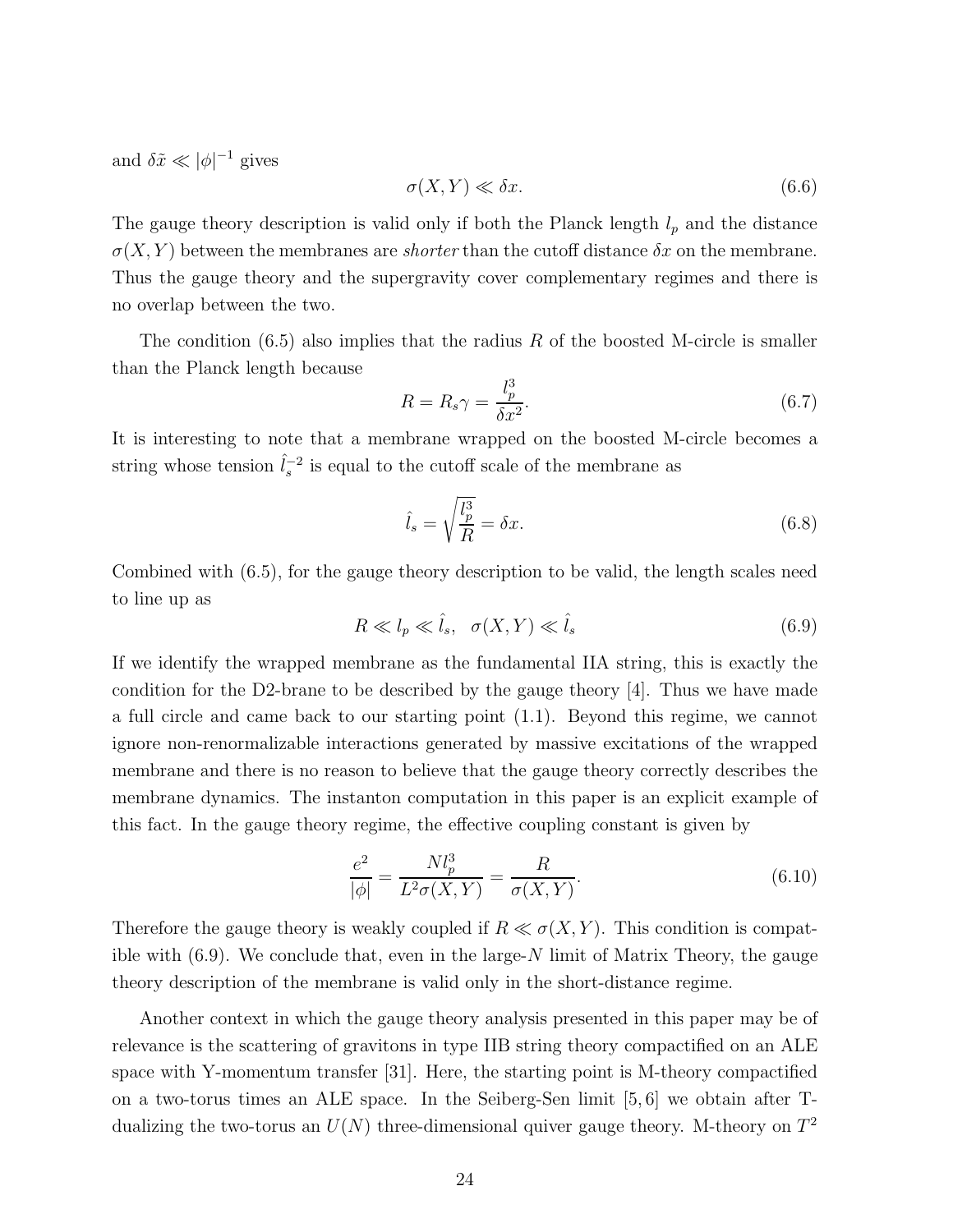and  $\delta \tilde{x} \ll |\phi|^{-1}$  gives

$$
\sigma(X, Y) \ll \delta x. \tag{6.6}
$$

The gauge theory description is valid only if both the Planck length  $l_p$  and the distance  $\sigma(X, Y)$  between the membranes are *shorter* than the cutoff distance  $\delta x$  on the membrane. Thus the gauge theory and the supergravity cover complementary regimes and there is no overlap between the two.

The condition  $(6.5)$  also implies that the radius R of the boosted M-circle is smaller than the Planck length because

$$
R = R_s \gamma = \frac{l_p^3}{\delta x^2}.\tag{6.7}
$$

It is interesting to note that a membrane wrapped on the boosted M-circle becomes a string whose tension  $\hat{l}_s^{-2}$  is equal to the cutoff scale of the membrane as

$$
\hat{l}_s = \sqrt{\frac{l_p^3}{R}} = \delta x. \tag{6.8}
$$

Combined with (6.5), for the gauge theory description to be valid, the length scales need to line up as

$$
R \ll l_p \ll \hat{l}_s, \quad \sigma(X, Y) \ll \hat{l}_s \tag{6.9}
$$

If we identify the wrapped membrane as the fundamental IIA string, this is exactly the condition for the D2-brane to be described by the gauge theory [4]. Thus we have made a full circle and came back to our starting point (1.1). Beyond this regime, we cannot ignore non-renormalizable interactions generated by massive excitations of the wrapped membrane and there is no reason to believe that the gauge theory correctly describes the membrane dynamics. The instanton computation in this paper is an explicit example of this fact. In the gauge theory regime, the effective coupling constant is given by

$$
\frac{e^2}{|\phi|} = \frac{N l_p^3}{L^2 \sigma(X, Y)} = \frac{R}{\sigma(X, Y)}.
$$
\n(6.10)

Therefore the gauge theory is weakly coupled if  $R \ll \sigma(X, Y)$ . This condition is compatible with  $(6.9)$ . We conclude that, even in the large-N limit of Matrix Theory, the gauge theory description of the membrane is valid only in the short-distance regime.

Another context in which the gauge theory analysis presented in this paper may be of relevance is the scattering of gravitons in type IIB string theory compactified on an ALE space with Y-momentum transfer [31]. Here, the starting point is M-theory compactified on a two-torus times an ALE space. In the Seiberg-Sen limit [5, 6] we obtain after Tdualizing the two-torus an  $U(N)$  three-dimensional quiver gauge theory. M-theory on  $T^2$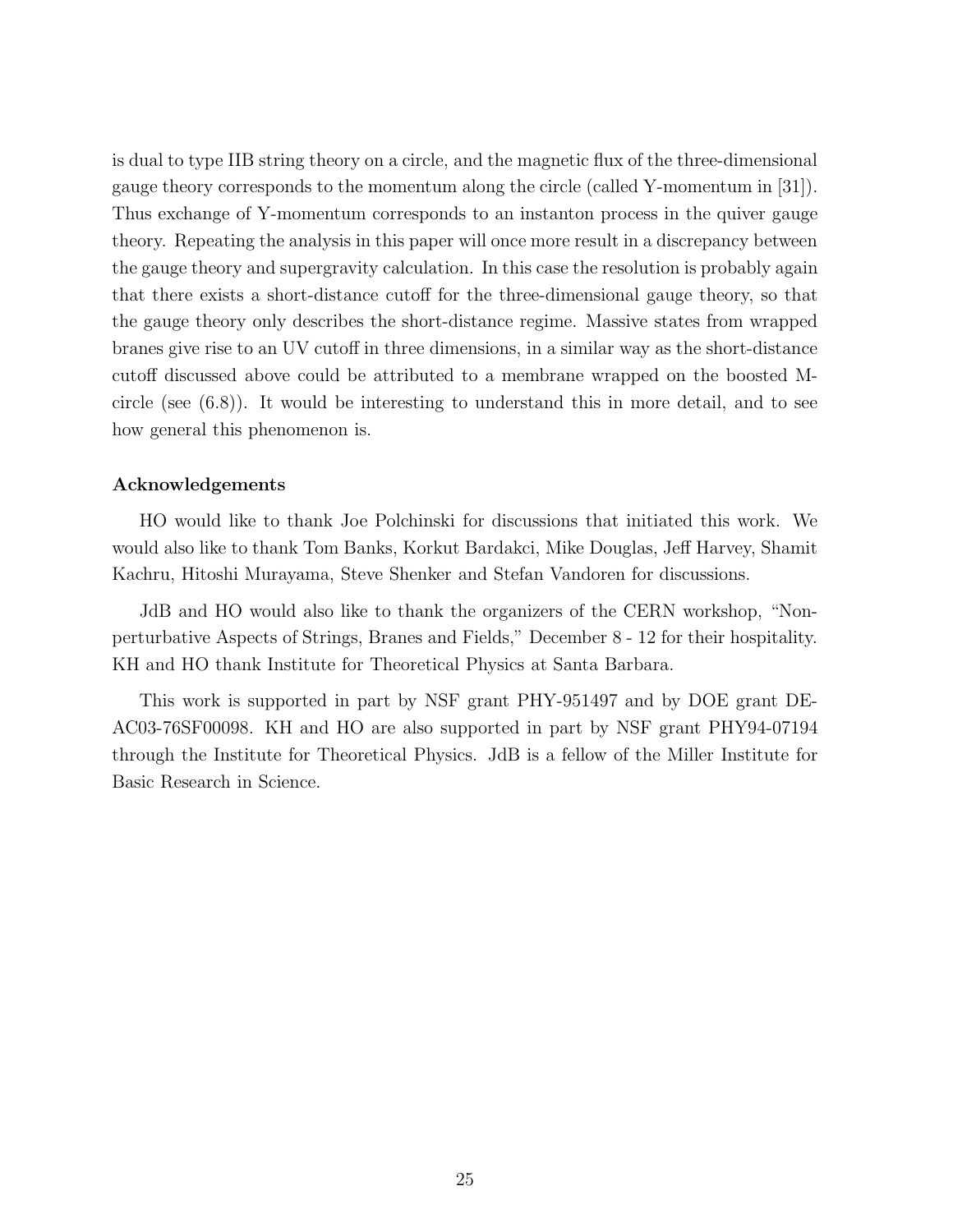is dual to type IIB string theory on a circle, and the magnetic flux of the three-dimensional gauge theory corresponds to the momentum along the circle (called Y-momentum in [31]). Thus exchange of Y-momentum corresponds to an instanton process in the quiver gauge theory. Repeating the analysis in this paper will once more result in a discrepancy between the gauge theory and supergravity calculation. In this case the resolution is probably again that there exists a short-distance cutoff for the three-dimensional gauge theory, so that the gauge theory only describes the short-distance regime. Massive states from wrapped branes give rise to an UV cutoff in three dimensions, in a similar way as the short-distance cutoff discussed above could be attributed to a membrane wrapped on the boosted Mcircle (see (6.8)). It would be interesting to understand this in more detail, and to see how general this phenomenon is.

#### Acknowledgements

HO would like to thank Joe Polchinski for discussions that initiated this work. We would also like to thank Tom Banks, Korkut Bardakci, Mike Douglas, Jeff Harvey, Shamit Kachru, Hitoshi Murayama, Steve Shenker and Stefan Vandoren for discussions.

JdB and HO would also like to thank the organizers of the CERN workshop, "Nonperturbative Aspects of Strings, Branes and Fields," December 8 - 12 for their hospitality. KH and HO thank Institute for Theoretical Physics at Santa Barbara.

This work is supported in part by NSF grant PHY-951497 and by DOE grant DE-AC03-76SF00098. KH and HO are also supported in part by NSF grant PHY94-07194 through the Institute for Theoretical Physics. JdB is a fellow of the Miller Institute for Basic Research in Science.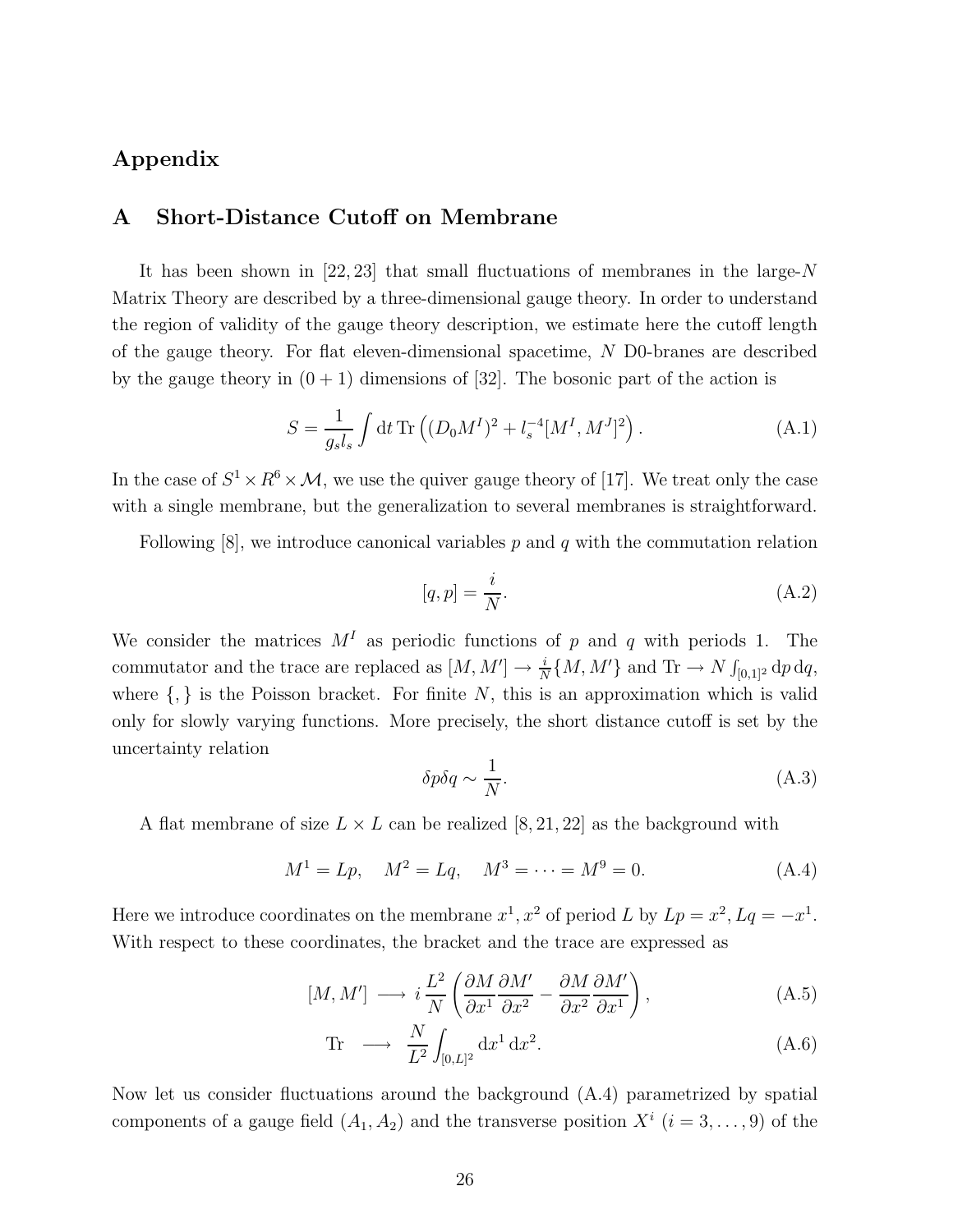# Appendix

### A Short-Distance Cutoff on Membrane

It has been shown in [22, 23] that small fluctuations of membranes in the large-N Matrix Theory are described by a three-dimensional gauge theory. In order to understand the region of validity of the gauge theory description, we estimate here the cutoff length of the gauge theory. For flat eleven-dimensional spacetime, N D0-branes are described by the gauge theory in  $(0 + 1)$  dimensions of [32]. The bosonic part of the action is

$$
S = \frac{1}{g_s l_s} \int dt \, \text{Tr} \left( (D_0 M^I)^2 + l_s^{-4} [M^I, M^J]^2 \right). \tag{A.1}
$$

In the case of  $S^1 \times R^6 \times M$ , we use the quiver gauge theory of [17]. We treat only the case with a single membrane, but the generalization to several membranes is straightforward.

Following  $[8]$ , we introduce canonical variables p and q with the commutation relation

$$
[q, p] = \frac{i}{N}.\tag{A.2}
$$

We consider the matrices  $M<sup>I</sup>$  as periodic functions of p and q with periods 1. The commutator and the trace are replaced as  $[M, M'] \to \frac{i}{N} \{M, M'\}$  and  $\text{Tr} \to N \int_{[0,1]^2} d\rho dq$ , where  $\{,\}$  is the Poisson bracket. For finite N, this is an approximation which is valid only for slowly varying functions. More precisely, the short distance cutoff is set by the uncertainty relation

$$
\delta p \delta q \sim \frac{1}{N}.\tag{A.3}
$$

A flat membrane of size  $L \times L$  can be realized  $[8, 21, 22]$  as the background with

$$
M^{1} = Lp, \quad M^{2} = Lq, \quad M^{3} = \dots = M^{9} = 0.
$$
 (A.4)

Here we introduce coordinates on the membrane  $x^1, x^2$  of period L by  $Lp = x^2, Lq = -x^1$ . With respect to these coordinates, the bracket and the trace are expressed as

$$
[M, M'] \longrightarrow i\frac{L^2}{N} \left( \frac{\partial M}{\partial x^1} \frac{\partial M'}{\partial x^2} - \frac{\partial M}{\partial x^2} \frac{\partial M'}{\partial x^1} \right), \tag{A.5}
$$

$$
\text{Tr} \quad \longrightarrow \quad \frac{N}{L^2} \int_{[0,L]^2} \mathrm{d}x^1 \, \mathrm{d}x^2. \tag{A.6}
$$

Now let us consider fluctuations around the background (A.4) parametrized by spatial components of a gauge field  $(A_1, A_2)$  and the transverse position  $X^i$   $(i = 3, \ldots, 9)$  of the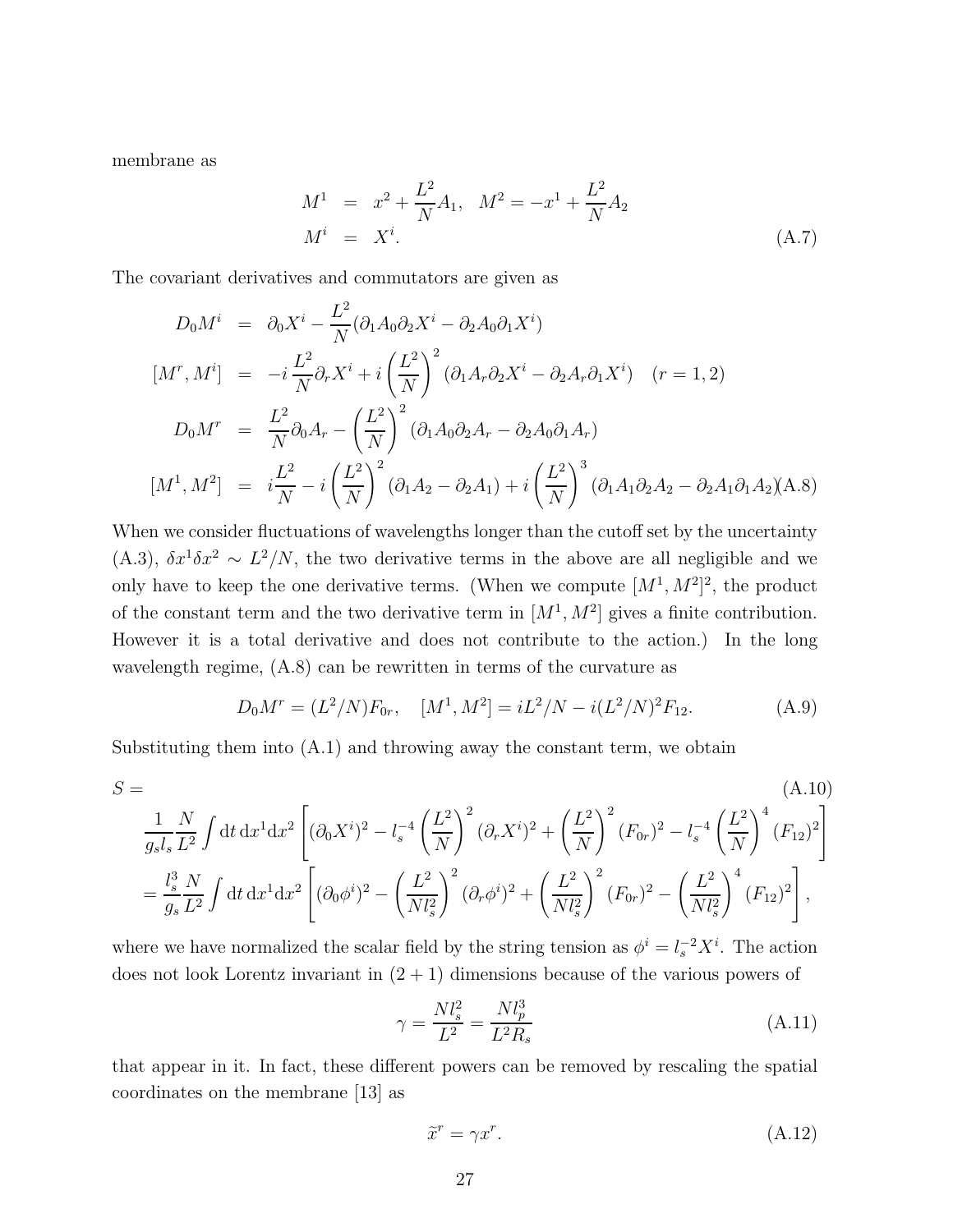membrane as

$$
M^{1} = x^{2} + \frac{L^{2}}{N}A_{1}, \quad M^{2} = -x^{1} + \frac{L^{2}}{N}A_{2}
$$
  

$$
M^{i} = X^{i}.
$$
 (A.7)

The covariant derivatives and commutators are given as

$$
D_0 M^i = \partial_0 X^i - \frac{L^2}{N} (\partial_1 A_0 \partial_2 X^i - \partial_2 A_0 \partial_1 X^i)
$$
  
\n
$$
[M^r, M^i] = -i \frac{L^2}{N} \partial_r X^i + i \left(\frac{L^2}{N}\right)^2 (\partial_1 A_r \partial_2 X^i - \partial_2 A_r \partial_1 X^i) \quad (r = 1, 2)
$$
  
\n
$$
D_0 M^r = \frac{L^2}{N} \partial_0 A_r - \left(\frac{L^2}{N}\right)^2 (\partial_1 A_0 \partial_2 A_r - \partial_2 A_0 \partial_1 A_r)
$$
  
\n
$$
[M^1, M^2] = i \frac{L^2}{N} - i \left(\frac{L^2}{N}\right)^2 (\partial_1 A_2 - \partial_2 A_1) + i \left(\frac{L^2}{N}\right)^3 (\partial_1 A_1 \partial_2 A_2 - \partial_2 A_1 \partial_1 A_2) (A.8)
$$

When we consider fluctuations of wavelengths longer than the cutoff set by the uncertainty (A.3),  $\delta x^1 \delta x^2 \sim L^2/N$ , the two derivative terms in the above are all negligible and we only have to keep the one derivative terms. (When we compute  $[M^1, M^2]^2$ , the product of the constant term and the two derivative term in  $[M^1, M^2]$  gives a finite contribution. However it is a total derivative and does not contribute to the action.) In the long wavelength regime, (A.8) can be rewritten in terms of the curvature as

$$
D_0M^r = (L^2/N)F_{0r}, \quad [M^1, M^2] = iL^2/N - i(L^2/N)^2F_{12}.
$$
 (A.9)

Substituting them into  $(A.1)$  and throwing away the constant term, we obtain

$$
S = (A.10)
$$
  
\n
$$
\frac{1}{g_s l_s} \frac{N}{L^2} \int dt \, dx^1 dx^2 \left[ (\partial_0 X^i)^2 - l_s^{-4} \left( \frac{L^2}{N} \right)^2 (\partial_r X^i)^2 + \left( \frac{L^2}{N} \right)^2 (F_{0r})^2 - l_s^{-4} \left( \frac{L^2}{N} \right)^4 (F_{12})^2 \right]
$$
  
\n
$$
= \frac{l_s^3}{g_s} \frac{N}{L^2} \int dt \, dx^1 dx^2 \left[ (\partial_0 \phi^i)^2 - \left( \frac{L^2}{N l_s^2} \right)^2 (\partial_r \phi^i)^2 + \left( \frac{L^2}{N l_s^2} \right)^2 (F_{0r})^2 - \left( \frac{L^2}{N l_s^2} \right)^4 (F_{12})^2 \right],
$$
\n(A.10)

where we have normalized the scalar field by the string tension as  $\phi^i = l_s^{-2} X^i$ . The action does not look Lorentz invariant in  $(2 + 1)$  dimensions because of the various powers of

$$
\gamma = \frac{N l_s^2}{L^2} = \frac{N l_p^3}{L^2 R_s} \tag{A.11}
$$

that appear in it. In fact, these different powers can be removed by rescaling the spatial coordinates on the membrane [13] as

$$
\tilde{x}^r = \gamma x^r. \tag{A.12}
$$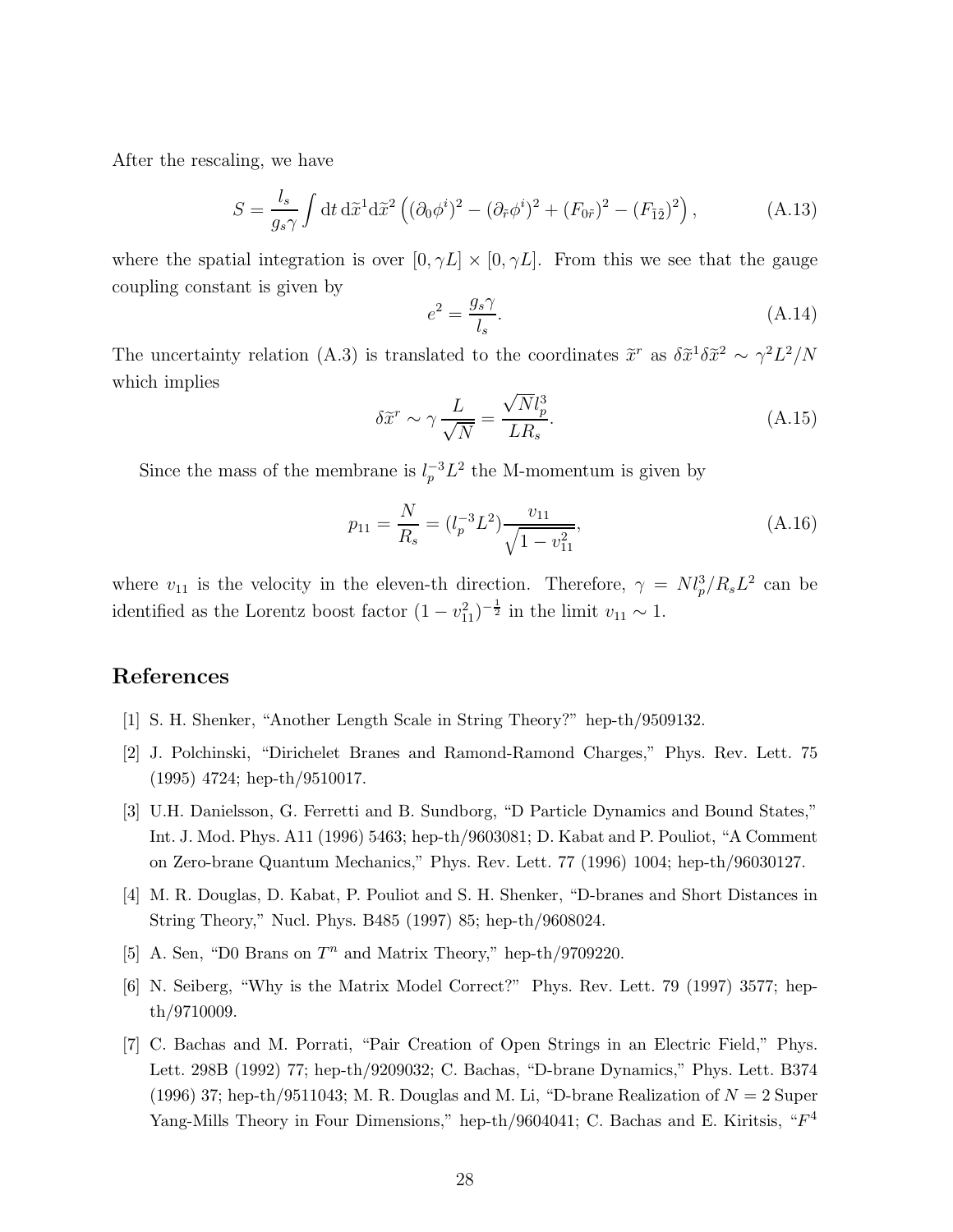After the rescaling, we have

$$
S = \frac{l_s}{g_s \gamma} \int \mathrm{d}t \, \mathrm{d}\tilde{x}^1 \mathrm{d}\tilde{x}^2 \left( (\partial_0 \phi^i)^2 - (\partial_{\tilde{r}} \phi^i)^2 + (F_{0\tilde{r}})^2 - (F_{\tilde{1}\tilde{2}})^2 \right),\tag{A.13}
$$

where the spatial integration is over  $[0, \gamma L] \times [0, \gamma L]$ . From this we see that the gauge coupling constant is given by

$$
e^2 = \frac{g_s \gamma}{l_s}.\tag{A.14}
$$

The uncertainty relation (A.3) is translated to the coordinates  $\tilde{x}^r$  as  $\delta \tilde{x}^1 \delta \tilde{x}^2 \sim \gamma^2 L^2/N$ which implies

$$
\delta \tilde{x}^r \sim \gamma \frac{L}{\sqrt{N}} = \frac{\sqrt{N}l_p^3}{LR_s}.
$$
\n(A.15)

Since the mass of the membrane is  $l_p^{-3}L^2$  the M-momentum is given by

$$
p_{11} = \frac{N}{R_s} = (l_p^{-3}L^2)\frac{v_{11}}{\sqrt{1 - v_{11}^2}},\tag{A.16}
$$

where  $v_{11}$  is the velocity in the eleven-th direction. Therefore,  $\gamma = N l_p^3 / R_s L^2$  can be identified as the Lorentz boost factor  $(1 - v_{11}^2)^{-\frac{1}{2}}$  in the limit  $v_{11} \sim 1$ .

# References

- [1] S. H. Shenker, "Another Length Scale in String Theory?" hep-th/9509132.
- [2] J. Polchinski, "Dirichelet Branes and Ramond-Ramond Charges," Phys. Rev. Lett. 75 (1995) 4724; hep-th/9510017.
- [3] U.H. Danielsson, G. Ferretti and B. Sundborg, "D Particle Dynamics and Bound States," Int. J. Mod. Phys. A11 (1996) 5463; hep-th/9603081; D. Kabat and P. Pouliot, "A Comment on Zero-brane Quantum Mechanics," Phys. Rev. Lett. 77 (1996) 1004; hep-th/96030127.
- [4] M. R. Douglas, D. Kabat, P. Pouliot and S. H. Shenker, "D-branes and Short Distances in String Theory," Nucl. Phys. B485 (1997) 85; hep-th/9608024.
- [5] A. Sen, "D0 Brans on  $T^n$  and Matrix Theory," hep-th/9709220.
- [6] N. Seiberg, "Why is the Matrix Model Correct?" Phys. Rev. Lett. 79 (1997) 3577; hepth/9710009.
- [7] C. Bachas and M. Porrati, "Pair Creation of Open Strings in an Electric Field," Phys. Lett. 298B (1992) 77; hep-th/9209032; C. Bachas, "D-brane Dynamics," Phys. Lett. B374 (1996) 37; hep-th/9511043; M. R. Douglas and M. Li, "D-brane Realization of  $N = 2$  Super Yang-Mills Theory in Four Dimensions," hep-th/9604041; C. Bachas and E. Kiritsis, " $F<sup>4</sup>$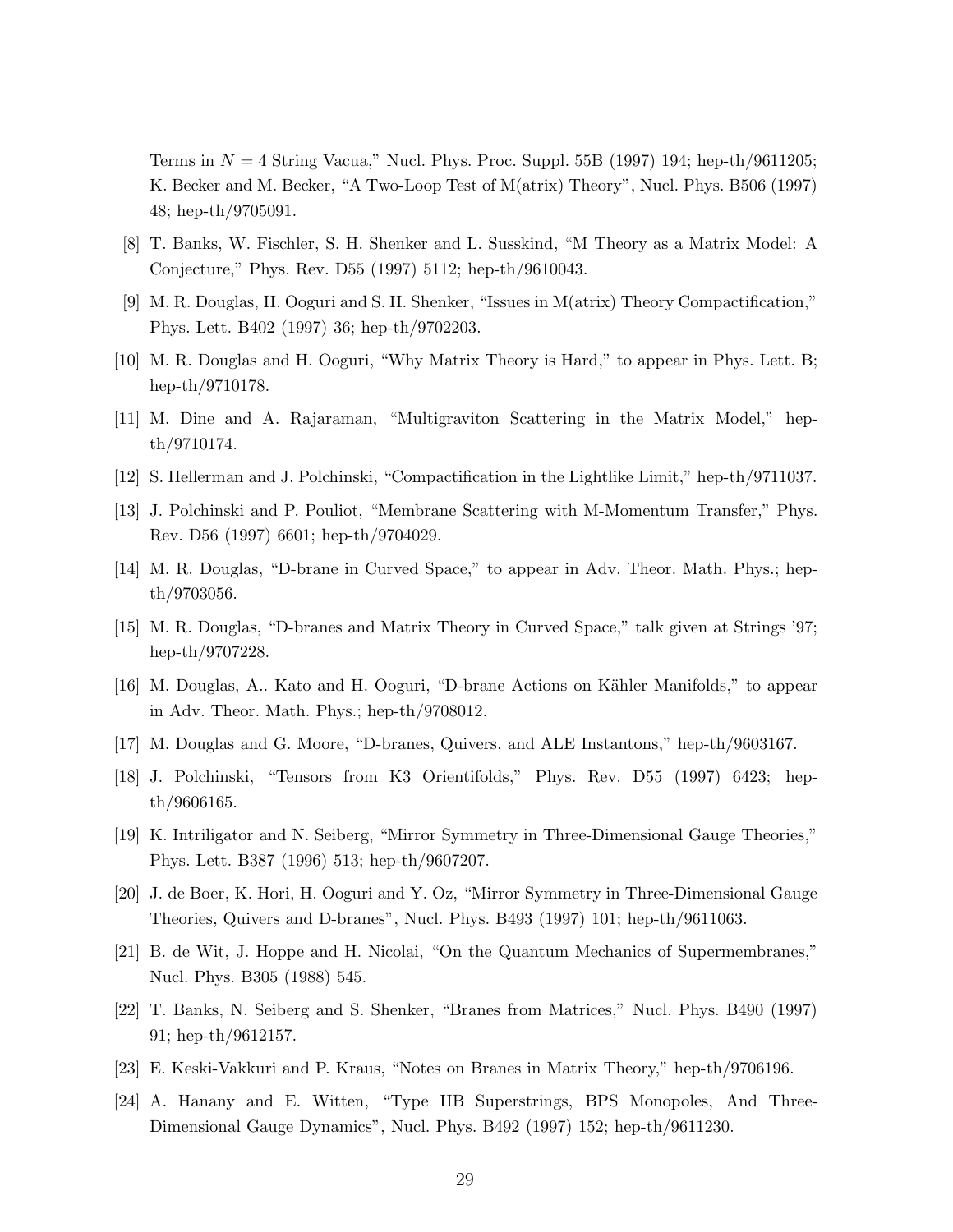Terms in  $N = 4$  String Vacua," Nucl. Phys. Proc. Suppl. 55B (1997) 194; hep-th/9611205; K. Becker and M. Becker, "A Two-Loop Test of M(atrix) Theory", Nucl. Phys. B506 (1997) 48; hep-th/9705091.

- [8] T. Banks, W. Fischler, S. H. Shenker and L. Susskind, "M Theory as a Matrix Model: A Conjecture," Phys. Rev. D55 (1997) 5112; hep-th/9610043.
- [9] M. R. Douglas, H. Ooguri and S. H. Shenker, "Issues in M(atrix) Theory Compactification," Phys. Lett. B402 (1997) 36; hep-th/9702203.
- [10] M. R. Douglas and H. Ooguri, "Why Matrix Theory is Hard," to appear in Phys. Lett. B; hep-th/9710178.
- [11] M. Dine and A. Rajaraman, "Multigraviton Scattering in the Matrix Model," hepth/9710174.
- [12] S. Hellerman and J. Polchinski, "Compactification in the Lightlike Limit," hep-th/9711037.
- [13] J. Polchinski and P. Pouliot, "Membrane Scattering with M-Momentum Transfer," Phys. Rev. D56 (1997) 6601; hep-th/9704029.
- [14] M. R. Douglas, "D-brane in Curved Space," to appear in Adv. Theor. Math. Phys.; hepth/9703056.
- [15] M. R. Douglas, "D-branes and Matrix Theory in Curved Space," talk given at Strings '97; hep-th/9707228.
- [16] M. Douglas, A.. Kato and H. Ooguri, "D-brane Actions on K¨ahler Manifolds," to appear in Adv. Theor. Math. Phys.; hep-th/9708012.
- [17] M. Douglas and G. Moore, "D-branes, Quivers, and ALE Instantons," hep-th/9603167.
- [18] J. Polchinski, "Tensors from K3 Orientifolds," Phys. Rev. D55 (1997) 6423; hepth/9606165.
- [19] K. Intriligator and N. Seiberg, "Mirror Symmetry in Three-Dimensional Gauge Theories," Phys. Lett. B387 (1996) 513; hep-th/9607207.
- [20] J. de Boer, K. Hori, H. Ooguri and Y. Oz, "Mirror Symmetry in Three-Dimensional Gauge Theories, Quivers and D-branes", Nucl. Phys. B493 (1997) 101; hep-th/9611063.
- [21] B. de Wit, J. Hoppe and H. Nicolai, "On the Quantum Mechanics of Supermembranes," Nucl. Phys. B305 (1988) 545.
- [22] T. Banks, N. Seiberg and S. Shenker, "Branes from Matrices," Nucl. Phys. B490 (1997) 91; hep-th/9612157.
- [23] E. Keski-Vakkuri and P. Kraus, "Notes on Branes in Matrix Theory," hep-th/9706196.
- [24] A. Hanany and E. Witten, "Type IIB Superstrings, BPS Monopoles, And Three-Dimensional Gauge Dynamics", Nucl. Phys. B492 (1997) 152; hep-th/9611230.